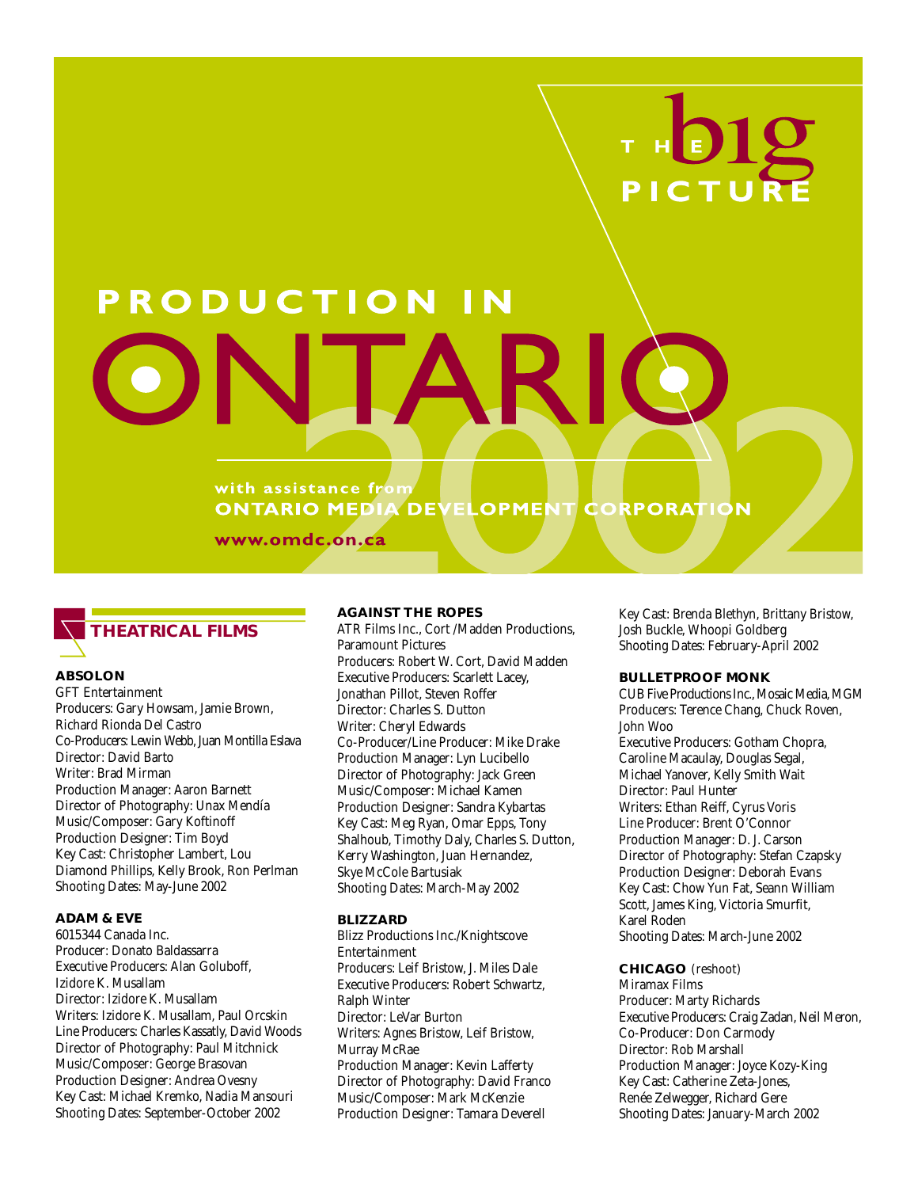# RODUCTION

#### with assistance from **ONTARIO MEDIA DEV ELOPMENT CORPORATION**

www.omdc.on.ca



#### **ABSOLON**

GFT Entertainment Producers: Gary Howsam, Jamie Brown, Richard Rionda Del Castro Co-Producers: Lewin Webb, Juan Montilla Eslava Director: David Barto Writer: Brad Mirman Production Manager: Aaron Barnett Director of Photography: Unax Mendía Music/Composer: Gary Koftinoff Production Designer: Tim Boyd Key Cast: Christopher Lambert, Lou Diamond Phillips, Kelly Brook, Ron Perlman Shooting Dates: May-June 2002

## **ADAM & EVE**

6015344 Canada Inc. Producer: Donato Baldassarra Executive Producers: Alan Goluboff, Izidore K. Musallam Director: Izidore K. Musallam Writers: Izidore K. Musallam, Paul Orcskin Line Producers: Charles Kassatly, David Woods Director of Photography: Paul Mitchnick Music/Composer: George Brasovan Production Designer: Andrea Ovesny Key Cast: Michael Kremko, Nadia Mansouri Shooting Dates: September-October 2002

#### **AGAINST THE ROPES**

ATR Films Inc., Cort /Madden Productions, Paramount Pictures Producers: Robert W. Cort, David Madden Executive Producers: Scarlett Lacey, Jonathan Pillot, Steven Roffer Director: Charles S. Dutton Writer: Cheryl Edwards Co-Producer/Line Producer: Mike Drake Production Manager: Lyn Lucibello Director of Photography: Jack Green Music/Composer: Michael Kamen Production Designer: Sandra Kybartas Key Cast: Meg Ryan, Omar Epps, Tony Shalhoub, Timothy Daly, Charles S. Dutton, Kerry Washington, Juan Hernandez, Skye McCole Bartusiak Shooting Dates: March-May 2002

#### **BLIZZARD**

Blizz Productions Inc./Knightscove Entertainment Producers: Leif Bristow, J. Miles Dale Executive Producers: Robert Schwartz, Ralph Winter Director: LeVar Burton Writers: Agnes Bristow, Leif Bristow, Murray McRae Production Manager: Kevin Lafferty Director of Photography: David Franco Music/Composer: Mark McKenzie Production Designer: Tamara Deverell

Key Cast: Brenda Blethyn, Brittany Bristow, Josh Buckle, Whoopi Goldberg Shooting Dates: February-April 2002

## **BULLETPROOF MONK**

CUB Five Productions Inc., Mosaic Media, MGM Producers: Terence Chang, Chuck Roven, John Woo Executive Producers: Gotham Chopra, Caroline Macaulay, Douglas Segal, Michael Yanover, Kelly Smith Wait Director: Paul Hunter Writers: Ethan Reiff, Cyrus Voris Line Producer: Brent O'Connor Production Manager: D. J. Carson Director of Photography: Stefan Czapsky Production Designer: Deborah Evans Key Cast: Chow Yun Fat, Seann William Scott, James King, Victoria Smurfit, Karel Roden Shooting Dates: March-June 2002

**CHICAGO** (reshoot) Miramax Films Producer: Marty Richards Executive Producers: Craig Zadan, Neil Meron, Co-Producer: Don Carmody Director: Rob Marshall Production Manager: Joyce Kozy-King Key Cast: Catherine Zeta-Jones, Renée Zelwegger, Richard Gere Shooting Dates: January-March 2002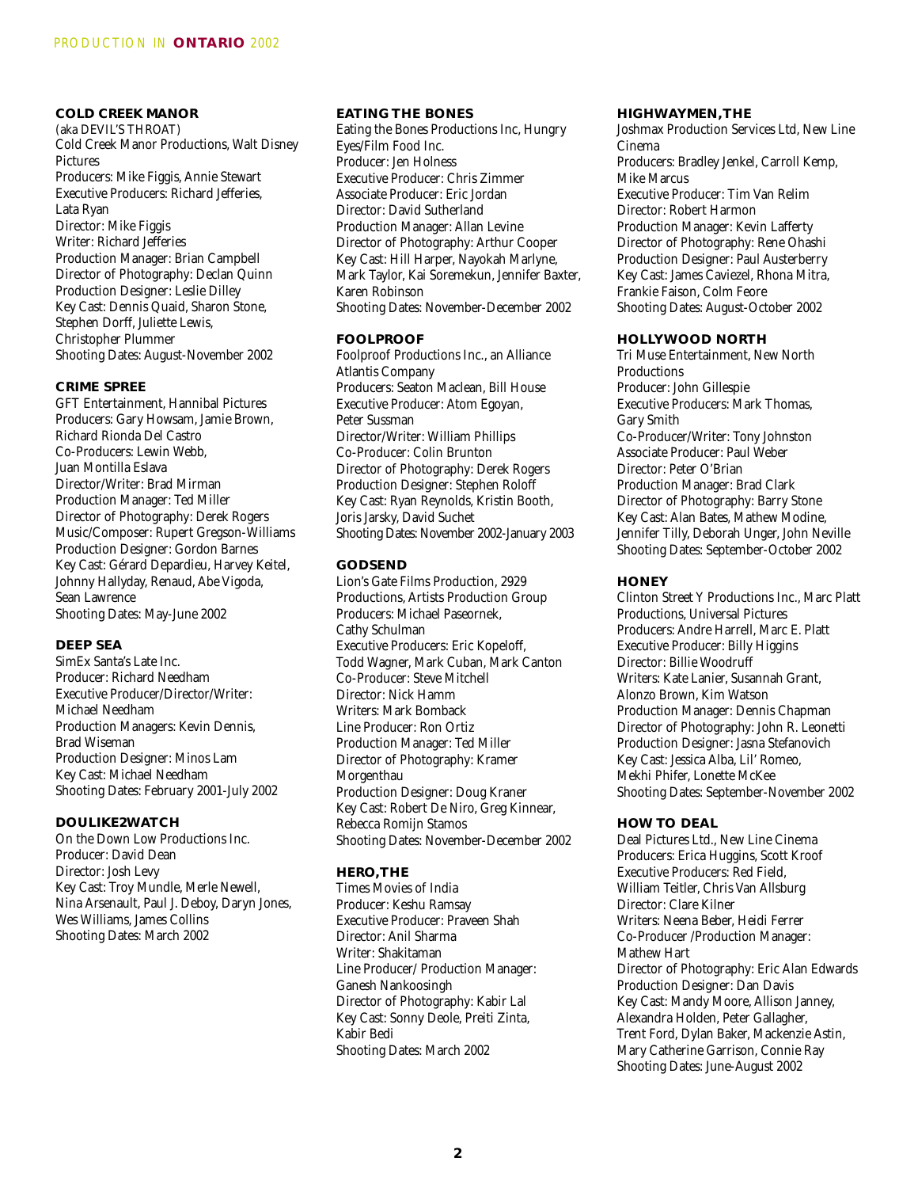# **COLD CREEK MANOR**

(aka DEVIL'S THROAT) Cold Creek Manor Productions, Walt Disney Pictures Producers: Mike Figgis, Annie Stewart Executive Producers: Richard Jefferies, Lata Ryan Director: Mike Figgis Writer: Richard Jefferies Production Manager: Brian Campbell Director of Photography: Declan Quinn Production Designer: Leslie Dilley Key Cast: Dennis Quaid, Sharon Stone, Stephen Dorff, Juliette Lewis, Christopher Plummer Shooting Dates: August-November 2002

# **CRIME SPREE**

GFT Entertainment, Hannibal Pictures Producers: Gary Howsam, Jamie Brown, Richard Rionda Del Castro Co-Producers: Lewin Webb, Juan Montilla Eslava Director/Writer: Brad Mirman Production Manager: Ted Miller Director of Photography: Derek Rogers Music/Composer: Rupert Gregson-Williams Production Designer: Gordon Barnes Key Cast: Gérard Depardieu, Harvey Keitel, Johnny Hallyday, Renaud, Abe Vigoda, Sean Lawrence Shooting Dates: May-June 2002

# **DEEP SEA**

SimEx Santa's Late Inc. Producer: Richard Needham Executive Producer/Director/Writer: Michael Needham Production Managers: Kevin Dennis, Brad Wiseman Production Designer: Minos Lam Key Cast: Michael Needham Shooting Dates: February 2001-July 2002

#### **DOULIKE2WATCH**

On the Down Low Productions Inc. Producer: David Dean Director: Josh Levy Key Cast: Troy Mundle, Merle Newell, Nina Arsenault, Paul J. Deboy, Daryn Jones, Wes Williams, James Collins Shooting Dates: March 2002

#### **EATING THE BONES**

Eating the Bones Productions Inc, Hungry Eyes/Film Food Inc. Producer: Jen Holness Executive Producer: Chris Zimmer Associate Producer: Eric Jordan Director: David Sutherland Production Manager: Allan Levine Director of Photography: Arthur Cooper Key Cast: Hill Harper, Nayokah Marlyne, Mark Taylor, Kai Soremekun, Jennifer Baxter, Karen Robinson Shooting Dates: November-December 2002

## **FOOLPROOF**

Foolproof Productions Inc., an Alliance Atlantis Company Producers: Seaton Maclean, Bill House Executive Producer: Atom Egoyan, Peter Sussman Director/Writer: William Phillips Co-Producer: Colin Brunton Director of Photography: Derek Rogers Production Designer: Stephen Roloff Key Cast: Ryan Reynolds, Kristin Booth, Joris Jarsky, David Suchet Shooting Dates: November 2002-January 2003

#### **GODSEND**

Lion's Gate Films Production, 2929 Productions, Artists Production Group Producers: Michael Paseornek, Cathy Schulman Executive Producers: Eric Kopeloff, Todd Wagner, Mark Cuban, Mark Canton Co-Producer: Steve Mitchell Director: Nick Hamm Writers: Mark Bomback Line Producer: Ron Ortiz Production Manager: Ted Miller Director of Photography: Kramer Morgenthau Production Designer: Doug Kraner Key Cast: Robert De Niro, Greg Kinnear, Rebecca Romijn Stamos Shooting Dates: November-December 2002

#### **HERO,THE**

Times Movies of India Producer: Keshu Ramsay Executive Producer: Praveen Shah Director: Anil Sharma Writer: Shakitaman Line Producer/ Production Manager: Ganesh Nankoosingh Director of Photography: Kabir Lal Key Cast: Sonny Deole, Preiti Zinta, Kabir Bedi Shooting Dates: March 2002

#### **HIGHWAYMEN,THE**

Joshmax Production Services Ltd, New Line Cinema Producers: Bradley Jenkel, Carroll Kemp, Mike Marcus Executive Producer: Tim Van Relim Director: Robert Harmon Production Manager: Kevin Lafferty Director of Photography: Rene Ohashi Production Designer: Paul Austerberry Key Cast: James Caviezel, Rhona Mitra, Frankie Faison, Colm Feore Shooting Dates: August-October 2002

#### **HOLLYWOOD NORTH**

Tri Muse Entertainment, New North **Productions** Producer: John Gillespie Executive Producers: Mark Thomas, Gary Smith Co-Producer/Writer: Tony Johnston Associate Producer: Paul Weber Director: Peter O'Brian Production Manager: Brad Clark Director of Photography: Barry Stone Key Cast: Alan Bates, Mathew Modine, Jennifer Tilly, Deborah Unger, John Neville Shooting Dates: September-October 2002

#### **HONEY**

Clinton Street Y Productions Inc., Marc Platt Productions, Universal Pictures Producers: Andre Harrell, Marc E. Platt Executive Producer: Billy Higgins Director: Billie Woodruff Writers: Kate Lanier, Susannah Grant, Alonzo Brown, Kim Watson Production Manager: Dennis Chapman Director of Photography: John R. Leonetti Production Designer: Jasna Stefanovich Key Cast: Jessica Alba, Lil' Romeo, Mekhi Phifer, Lonette McKee Shooting Dates: September-November 2002

#### **HOW TO DEAL**

Deal Pictures Ltd., New Line Cinema Producers: Erica Huggins, Scott Kroof Executive Producers: Red Field, William Teitler, Chris Van Allsburg Director: Clare Kilner Writers: Neena Beber, Heidi Ferrer Co-Producer /Production Manager: Mathew Hart Director of Photography: Eric Alan Edwards Production Designer: Dan Davis Key Cast: Mandy Moore, Allison Janney, Alexandra Holden, Peter Gallagher, Trent Ford, Dylan Baker, Mackenzie Astin, Mary Catherine Garrison, Connie Ray Shooting Dates: June-August 2002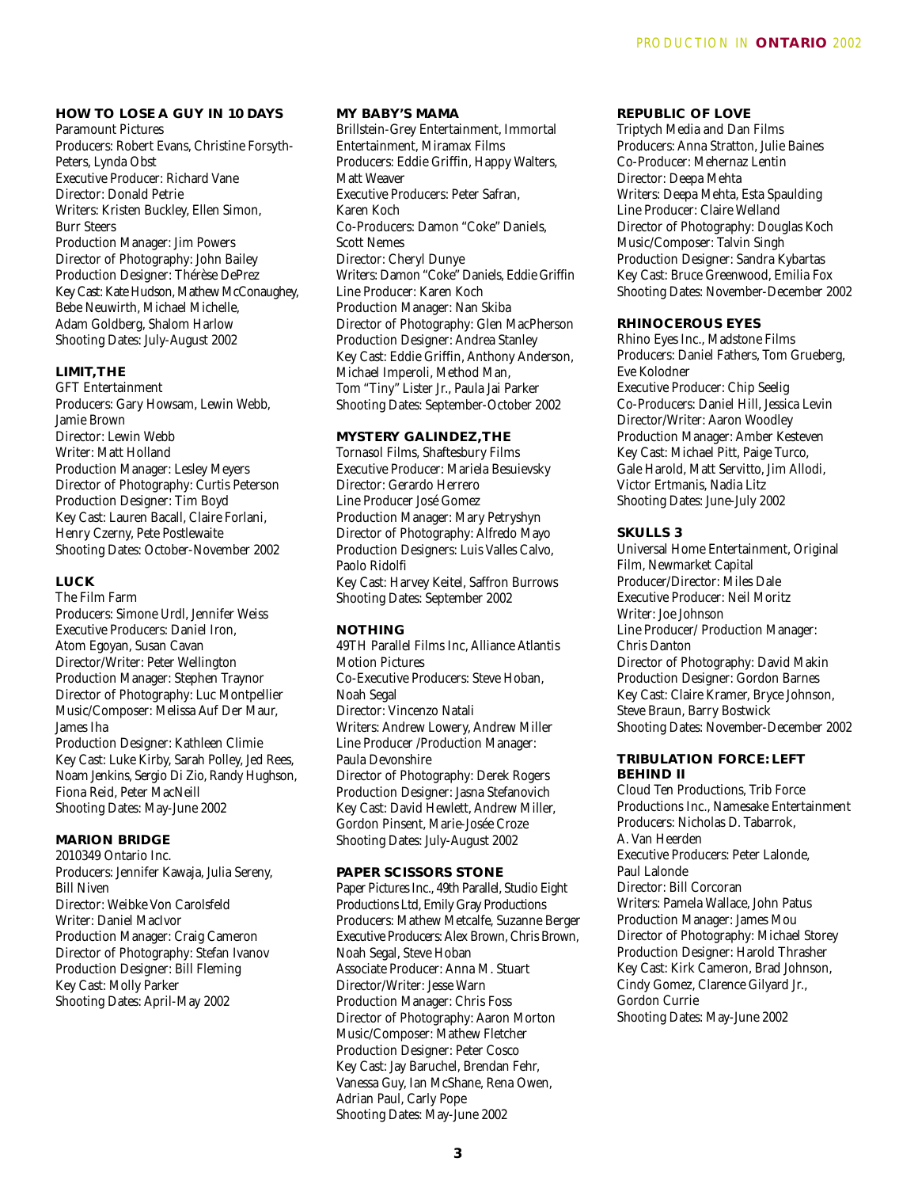# **HOW TO LOSE A GUY IN 10 DAYS**

Paramount Pictures Producers: Robert Evans, Christine Forsyth-Peters, Lynda Obst Executive Producer: Richard Vane Director: Donald Petrie Writers: Kristen Buckley, Ellen Simon, Burr Steers Production Manager: Jim Powers Director of Photography: John Bailey Production Designer: Thérèse DePrez Key Cast: Kate Hudson, Mathew McConaughey, Bebe Neuwirth, Michael Michelle, Adam Goldberg, Shalom Harlow Shooting Dates: July-August 2002

# **LIMIT,THE**

GFT Entertainment Producers: Gary Howsam, Lewin Webb, Jamie Brown Director: Lewin Webb Writer: Matt Holland Production Manager: Lesley Meyers Director of Photography: Curtis Peterson Production Designer: Tim Boyd Key Cast: Lauren Bacall, Claire Forlani, Henry Czerny, Pete Postlewaite Shooting Dates: October-November 2002

#### **LUCK**

The Film Farm Producers: Simone Urdl, Jennifer Weiss Executive Producers: Daniel Iron, Atom Egoyan, Susan Cavan Director/Writer: Peter Wellington Production Manager: Stephen Traynor Director of Photography: Luc Montpellier Music/Composer: Melissa Auf Der Maur, James Iha Production Designer: Kathleen Climie Key Cast: Luke Kirby, Sarah Polley, Jed Rees, Noam Jenkins, Sergio Di Zio, Randy Hughson, Fiona Reid, Peter MacNeill Shooting Dates: May-June 2002

# **MARION BRIDGE**

2010349 Ontario Inc. Producers: Jennifer Kawaja, Julia Sereny, Bill Niven Director: Weibke Von Carolsfeld Writer: Daniel MacIvor Production Manager: Craig Cameron Director of Photography: Stefan Ivanov Production Designer: Bill Fleming Key Cast: Molly Parker Shooting Dates: April-May 2002

#### **MY BABY'S MAMA**

Brillstein-Grey Entertainment, Immortal Entertainment, Miramax Films Producers: Eddie Griffin, Happy Walters, Matt Weaver Executive Producers: Peter Safran, Karen Koch Co-Producers: Damon "Coke" Daniels, Scott Nemes Director: Cheryl Dunye Writers: Damon "Coke" Daniels, Eddie Griffin Line Producer: Karen Koch Production Manager: Nan Skiba Director of Photography: Glen MacPherson Production Designer: Andrea Stanley Key Cast: Eddie Griffin, Anthony Anderson, Michael Imperoli, Method Man, Tom "Tiny" Lister Jr., Paula Jai Parker Shooting Dates: September-October 2002

# **MYSTERY GALINDEZ,THE**

Tornasol Films, Shaftesbury Films Executive Producer: Mariela Besuievsky Director: Gerardo Herrero Line Producer José Gomez Production Manager: Mary Petryshyn Director of Photography: Alfredo Mayo Production Designers: Luis Valles Calvo, Paolo Ridolfi Key Cast: Harvey Keitel, Saffron Burrows Shooting Dates: September 2002

#### **NOTHING**

49TH Parallel Films Inc, Alliance Atlantis Motion Pictures Co-Executive Producers: Steve Hoban, Noah Segal Director: Vincenzo Natali Writers: Andrew Lowery, Andrew Miller Line Producer /Production Manager: Paula Devonshire Director of Photography: Derek Rogers Production Designer: Jasna Stefanovich Key Cast: David Hewlett, Andrew Miller, Gordon Pinsent, Marie-Josée Croze Shooting Dates: July-August 2002

#### **PAPER SCISSORS STONE**

Paper Pictures Inc., 49th Parallel, Studio Eight Productions Ltd, Emily Gray Productions Producers: Mathew Metcalfe, Suzanne Berger Executive Producers: Alex Brown, Chris Brown, Noah Segal, Steve Hoban Associate Producer: Anna M. Stuart Director/Writer: Jesse Warn Production Manager: Chris Foss Director of Photography: Aaron Morton Music/Composer: Mathew Fletcher Production Designer: Peter Cosco Key Cast: Jay Baruchel, Brendan Fehr, Vanessa Guy, Ian McShane, Rena Owen, Adrian Paul, Carly Pope Shooting Dates: May-June 2002

#### **REPUBLIC OF LOVE**

Triptych Media and Dan Films Producers: Anna Stratton, Julie Baines Co-Producer: Mehernaz Lentin Director: Deepa Mehta Writers: Deepa Mehta, Esta Spaulding Line Producer: Claire Welland Director of Photography: Douglas Koch Music/Composer: Talvin Singh Production Designer: Sandra Kybartas Key Cast: Bruce Greenwood, Emilia Fox Shooting Dates: November-December 2002

# **RHINOCEROUS EYES**

Rhino Eyes Inc., Madstone Films Producers: Daniel Fathers, Tom Grueberg, Eve Kolodner Executive Producer: Chip Seelig Co-Producers: Daniel Hill, Jessica Levin Director/Writer: Aaron Woodley Production Manager: Amber Kesteven Key Cast: Michael Pitt, Paige Turco, Gale Harold, Matt Servitto, Jim Allodi, Victor Ertmanis, Nadia Litz Shooting Dates: June-July 2002

#### **SKULLS 3**

Universal Home Entertainment, Original Film, Newmarket Capital Producer/Director: Miles Dale Executive Producer: Neil Moritz Writer: Joe Johnson Line Producer/ Production Manager: Chris Danton Director of Photography: David Makin Production Designer: Gordon Barnes Key Cast: Claire Kramer, Bryce Johnson, Steve Braun, Barry Bostwick Shooting Dates: November-December 2002

#### **TRIBULATION FORCE: LEFT BEHIND II**

Cloud Ten Productions, Trib Force Productions Inc., Namesake Entertainment Producers: Nicholas D. Tabarrok, A. Van Heerden Executive Producers: Peter Lalonde, Paul Lalonde Director: Bill Corcoran Writers: Pamela Wallace, John Patus Production Manager: James Mou Director of Photography: Michael Storey Production Designer: Harold Thrasher Key Cast: Kirk Cameron, Brad Johnson, Cindy Gomez, Clarence Gilyard Jr., Gordon Currie Shooting Dates: May-June 2002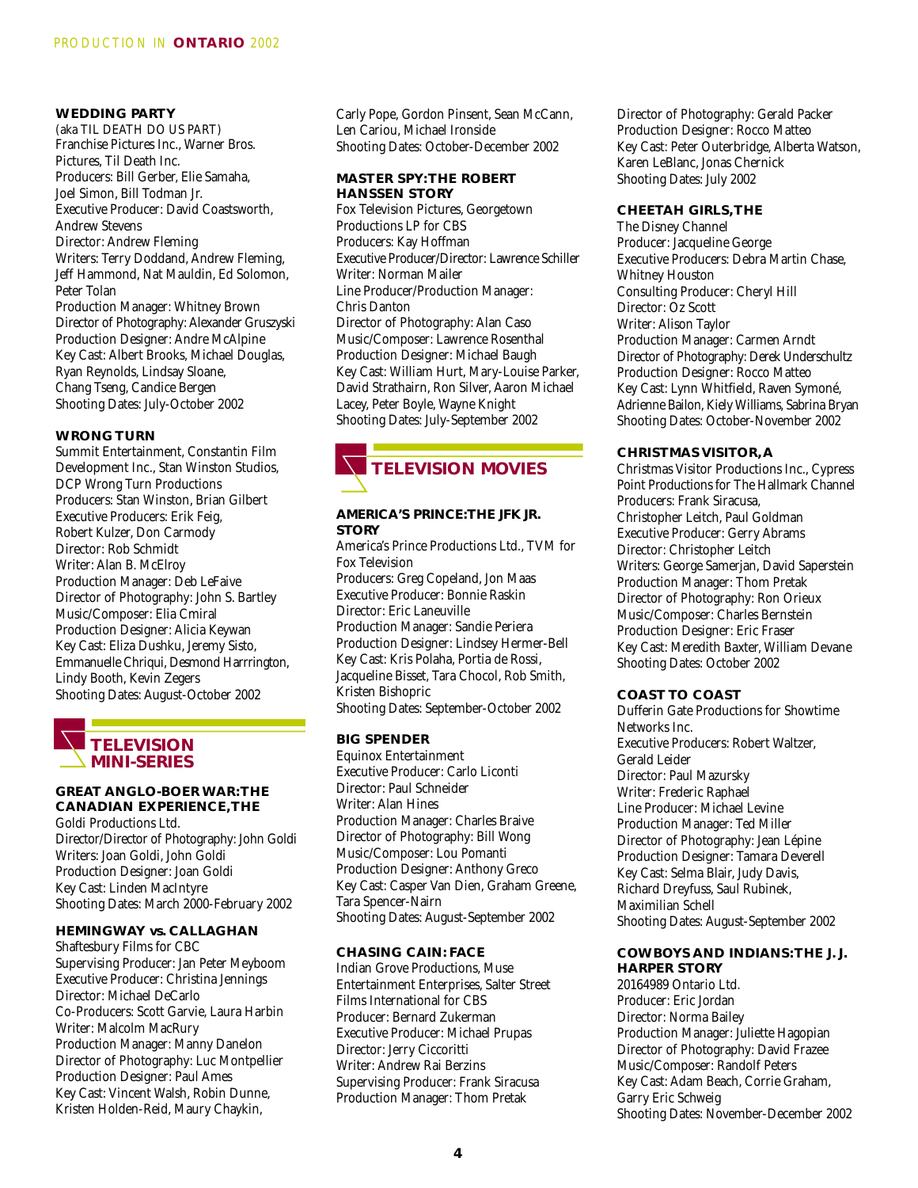#### **WEDDING PARTY**

(aka TIL DEATH DO US PART) Franchise Pictures Inc., Warner Bros. Pictures, Til Death Inc. Producers: Bill Gerber, Elie Samaha, Joel Simon, Bill Todman Jr. Executive Producer: David Coastsworth, Andrew Stevens Director: Andrew Fleming Writers: Terry Doddand, Andrew Fleming, Jeff Hammond, Nat Mauldin, Ed Solomon, Peter Tolan Production Manager: Whitney Brown Director of Photography: Alexander Gruszyski Production Designer: Andre McAlpine Key Cast: Albert Brooks, Michael Douglas, Ryan Reynolds, Lindsay Sloane, Chang Tseng, Candice Bergen Shooting Dates: July-October 2002

### **WRONG TURN**

Summit Entertainment, Constantin Film Development Inc., Stan Winston Studios, DCP Wrong Turn Productions Producers: Stan Winston, Brian Gilbert Executive Producers: Erik Feig, Robert Kulzer, Don Carmody Director: Rob Schmidt Writer: Alan B. McElroy Production Manager: Deb LeFaive Director of Photography: John S. Bartley Music/Composer: Elia Cmiral Production Designer: Alicia Keywan Key Cast: Eliza Dushku, Jeremy Sisto, Emmanuelle Chriqui, Desmond Harrrington, Lindy Booth, Kevin Zegers Shooting Dates: August-October 2002



#### **GREAT ANGLO-BOER WAR:THE CANADIAN EXPERIENCE,THE**

Goldi Productions Ltd. Director/Director of Photography: John Goldi Writers: Joan Goldi, John Goldi Production Designer: Joan Goldi Key Cast: Linden MacIntyre Shooting Dates: March 2000-February 2002

# **HEMINGWAY vs. CALLAGHAN**

Shaftesbury Films for CBC Supervising Producer: Jan Peter Meyboom Executive Producer: Christina Jennings Director: Michael DeCarlo Co-Producers: Scott Garvie, Laura Harbin Writer: Malcolm MacRury Production Manager: Manny Danelon Director of Photography: Luc Montpellier Production Designer: Paul Ames Key Cast: Vincent Walsh, Robin Dunne, Kristen Holden-Reid, Maury Chaykin,

Carly Pope, Gordon Pinsent, Sean McCann, Len Cariou, Michael Ironside Shooting Dates: October-December 2002

#### **MASTER SPY:THE ROBERT HANSSEN STORY**

Fox Television Pictures, Georgetown Productions LP for CBS Producers: Kay Hoffman Executive Producer/Director: Lawrence Schiller Writer: Norman Mailer Line Producer/Production Manager: Chris Danton Director of Photography: Alan Caso Music/Composer: Lawrence Rosenthal Production Designer: Michael Baugh Key Cast: William Hurt, Mary-Louise Parker, David Strathairn, Ron Silver, Aaron Michael Lacey, Peter Boyle, Wayne Knight Shooting Dates: July-September 2002



# **AMERICA'S PRINCE:THE JFK JR. STORY**

America's Prince Productions Ltd., TVM for Fox Television Producers: Greg Copeland, Jon Maas Executive Producer: Bonnie Raskin Director: Eric Laneuville Production Manager: Sandie Periera Production Designer: Lindsey Hermer-Bell Key Cast: Kris Polaha, Portia de Rossi, Jacqueline Bisset, Tara Chocol, Rob Smith, Kristen Bishopric Shooting Dates: September-October 2002

# **BIG SPENDER**

Equinox Entertainment Executive Producer: Carlo Liconti Director: Paul Schneider Writer: Alan Hines Production Manager: Charles Braive Director of Photography: Bill Wong Music/Composer: Lou Pomanti Production Designer: Anthony Greco Key Cast: Casper Van Dien, Graham Greene, Tara Spencer-Nairn Shooting Dates: August-September 2002

# **CHASING CAIN: FACE**

Indian Grove Productions, Muse Entertainment Enterprises, Salter Street Films International for CBS Producer: Bernard Zukerman Executive Producer: Michael Prupas Director: Jerry Ciccoritti Writer: Andrew Rai Berzins Supervising Producer: Frank Siracusa Production Manager: Thom Pretak

Director of Photography: Gerald Packer Production Designer: Rocco Matteo Key Cast: Peter Outerbridge, Alberta Watson, Karen LeBlanc, Jonas Chernick Shooting Dates: July 2002

#### **CHEETAH GIRLS,THE**

The Disney Channel Producer: Jacqueline George Executive Producers: Debra Martin Chase, Whitney Houston Consulting Producer: Cheryl Hill Director: Oz Scott Writer: Alison Taylor Production Manager: Carmen Arndt Director of Photography: Derek Underschultz Production Designer: Rocco Matteo Key Cast: Lynn Whitfield, Raven Symoné, Adrienne Bailon, Kiely Williams, Sabrina Bryan Shooting Dates: October-November 2002

# **CHRISTMAS VISITOR, A**

Christmas Visitor Productions Inc., Cypress Point Productions for The Hallmark Channel Producers: Frank Siracusa, Christopher Leitch, Paul Goldman Executive Producer: Gerry Abrams Director: Christopher Leitch Writers: George Samerjan, David Saperstein Production Manager: Thom Pretak Director of Photography: Ron Orieux Music/Composer: Charles Bernstein Production Designer: Eric Fraser Key Cast: Meredith Baxter, William Devane Shooting Dates: October 2002

# **COAST TO COAST**

Dufferin Gate Productions for Showtime Networks Inc. Executive Producers: Robert Waltzer, Gerald Leider Director: Paul Mazursky Writer: Frederic Raphael Line Producer: Michael Levine Production Manager: Ted Miller Director of Photography: Jean Lépine Production Designer: Tamara Deverell Key Cast: Selma Blair, Judy Davis, Richard Dreyfuss, Saul Rubinek, Maximilian Schell Shooting Dates: August-September 2002

# **COWBOYS AND INDIANS:THE J. J. HARPER STORY**

20164989 Ontario Ltd. Producer: Eric Jordan Director: Norma Bailey Production Manager: Juliette Hagopian Director of Photography: David Frazee Music/Composer: Randolf Peters Key Cast: Adam Beach, Corrie Graham, Garry Eric Schweig Shooting Dates: November-December 2002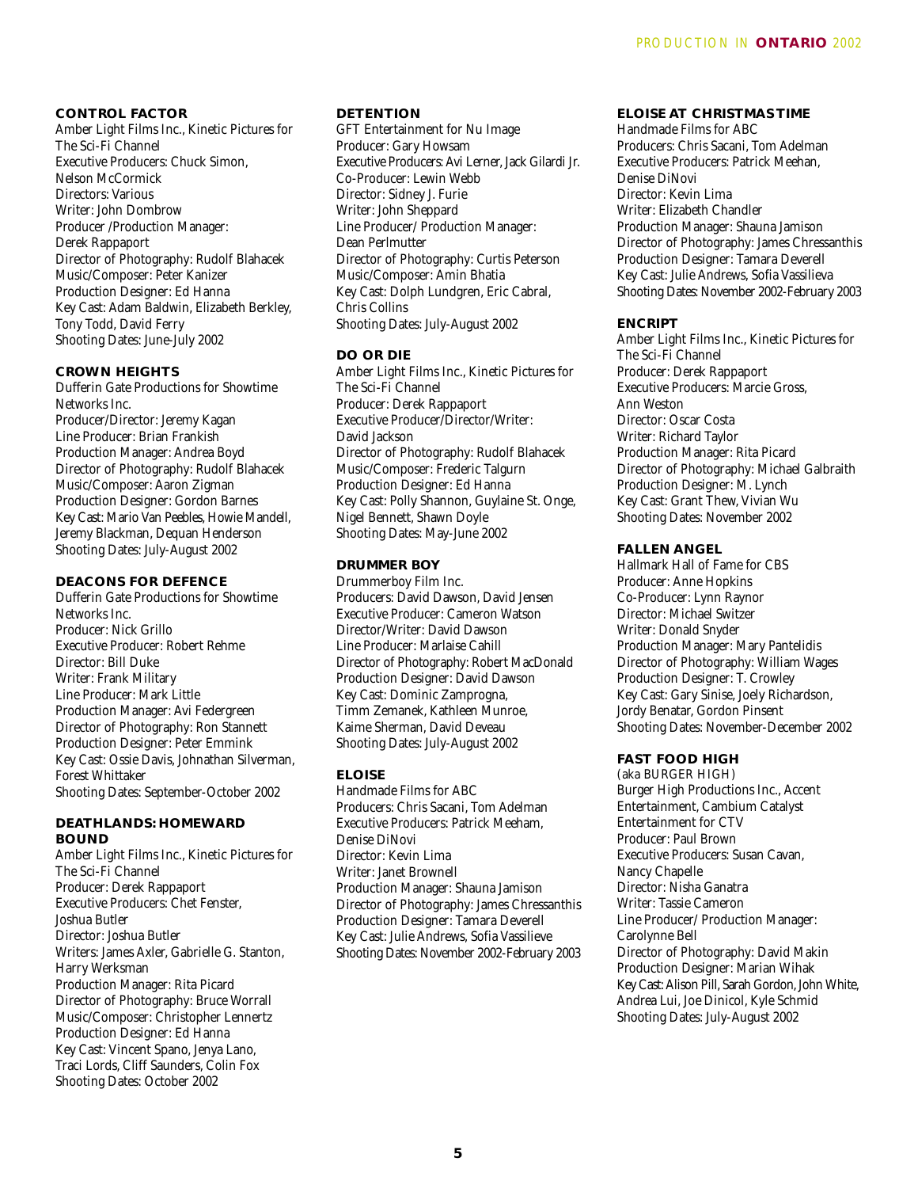#### **CONTROL FACTOR**

Amber Light Films Inc., Kinetic Pictures for The Sci-Fi Channel Executive Producers: Chuck Simon, Nelson McCormick Directors: Various Writer: John Dombrow Producer /Production Manager: Derek Rappaport Director of Photography: Rudolf Blahacek Music/Composer: Peter Kanizer Production Designer: Ed Hanna Key Cast: Adam Baldwin, Elizabeth Berkley, Tony Todd, David Ferry Shooting Dates: June-July 2002

# **CROWN HEIGHTS**

Dufferin Gate Productions for Showtime Networks Inc. Producer/Director: Jeremy Kagan Line Producer: Brian Frankish Production Manager: Andrea Boyd Director of Photography: Rudolf Blahacek Music/Composer: Aaron Zigman Production Designer: Gordon Barnes Key Cast: Mario Van Peebles, Howie Mandell, Jeremy Blackman, Dequan Henderson Shooting Dates: July-August 2002

#### **DEACONS FOR DEFENCE**

Dufferin Gate Productions for Showtime Networks Inc. Producer: Nick Grillo Executive Producer: Robert Rehme Director: Bill Duke Writer: Frank Military Line Producer: Mark Little Production Manager: Avi Federgreen Director of Photography: Ron Stannett Production Designer: Peter Emmink Key Cast: Ossie Davis, Johnathan Silverman, Forest Whittaker Shooting Dates: September-October 2002

#### **DEATHLANDS: HOMEWARD BOUND**

Amber Light Films Inc., Kinetic Pictures for The Sci-Fi Channel Producer: Derek Rappaport Executive Producers: Chet Fenster, Joshua Butler Director: Joshua Butler Writers: James Axler, Gabrielle G. Stanton, Harry Werksman Production Manager: Rita Picard Director of Photography: Bruce Worrall Music/Composer: Christopher Lennertz Production Designer: Ed Hanna Key Cast: Vincent Spano, Jenya Lano, Traci Lords, Cliff Saunders, Colin Fox Shooting Dates: October 2002

#### **DETENTION**

GFT Entertainment for Nu Image Producer: Gary Howsam Executive Producers: Avi Lerner, Jack Gilardi Jr. Co-Producer: Lewin Webb Director: Sidney J. Furie Writer: John Sheppard Line Producer/ Production Manager: Dean Perlmutter Director of Photography: Curtis Peterson Music/Composer: Amin Bhatia Key Cast: Dolph Lundgren, Eric Cabral, Chris Collins Shooting Dates: July-August 2002

# **DO OR DIE**

Amber Light Films Inc., Kinetic Pictures for The Sci-Fi Channel Producer: Derek Rappaport Executive Producer/Director/Writer: David Jackson Director of Photography: Rudolf Blahacek Music/Composer: Frederic Talgurn Production Designer: Ed Hanna Key Cast: Polly Shannon, Guylaine St. Onge, Nigel Bennett, Shawn Doyle Shooting Dates: May-June 2002

# **DRUMMER BOY**

Drummerboy Film Inc. Producers: David Dawson, David Jensen Executive Producer: Cameron Watson Director/Writer: David Dawson Line Producer: Marlaise Cahill Director of Photography: Robert MacDonald Production Designer: David Dawson Key Cast: Dominic Zamprogna, Timm Zemanek, Kathleen Munroe, Kaime Sherman, David Deveau Shooting Dates: July-August 2002

# **ELOISE**

Handmade Films for ABC Producers: Chris Sacani, Tom Adelman Executive Producers: Patrick Meeham, Denise DiNovi Director: Kevin Lima Writer: Janet Brownell Production Manager: Shauna Jamison Director of Photography: James Chressanthis Production Designer: Tamara Deverell Key Cast: Julie Andrews, Sofia Vassilieve Shooting Dates: November 2002-February 2003

## **ELOISE AT CHRISTMAS TIME**

Handmade Films for ABC Producers: Chris Sacani, Tom Adelman Executive Producers: Patrick Meehan, Denise DiNovi Director: Kevin Lima Writer: Elizabeth Chandler Production Manager: Shauna Jamison Director of Photography: James Chressanthis Production Designer: Tamara Deverell Key Cast: Julie Andrews, Sofia Vassilieva Shooting Dates: November 2002-February 2003

#### **ENCRIPT**

Amber Light Films Inc., Kinetic Pictures for The Sci-Fi Channel Producer: Derek Rappaport Executive Producers: Marcie Gross, Ann Weston Director: Oscar Costa Writer: Richard Taylor Production Manager: Rita Picard Director of Photography: Michael Galbraith Production Designer: M. Lynch Key Cast: Grant Thew, Vivian Wu Shooting Dates: November 2002

# **FALLEN ANGEL**

Hallmark Hall of Fame for CBS Producer: Anne Hopkins Co-Producer: Lynn Raynor Director: Michael Switzer Writer: Donald Snyder Production Manager: Mary Pantelidis Director of Photography: William Wages Production Designer: T. Crowley Key Cast: Gary Sinise, Joely Richardson, Jordy Benatar, Gordon Pinsent Shooting Dates: November-December 2002

# **FAST FOOD HIGH**

(aka BURGER HIGH) Burger High Productions Inc., Accent Entertainment, Cambium Catalyst Entertainment for CTV Producer: Paul Brown Executive Producers: Susan Cavan, Nancy Chapelle Director: Nisha Ganatra Writer: Tassie Cameron Line Producer/ Production Manager: Carolynne Bell Director of Photography: David Makin Production Designer: Marian Wihak Key Cast: Alison Pill, Sarah Gordon, John White, Andrea Lui, Joe Dinicol, Kyle Schmid Shooting Dates: July-August 2002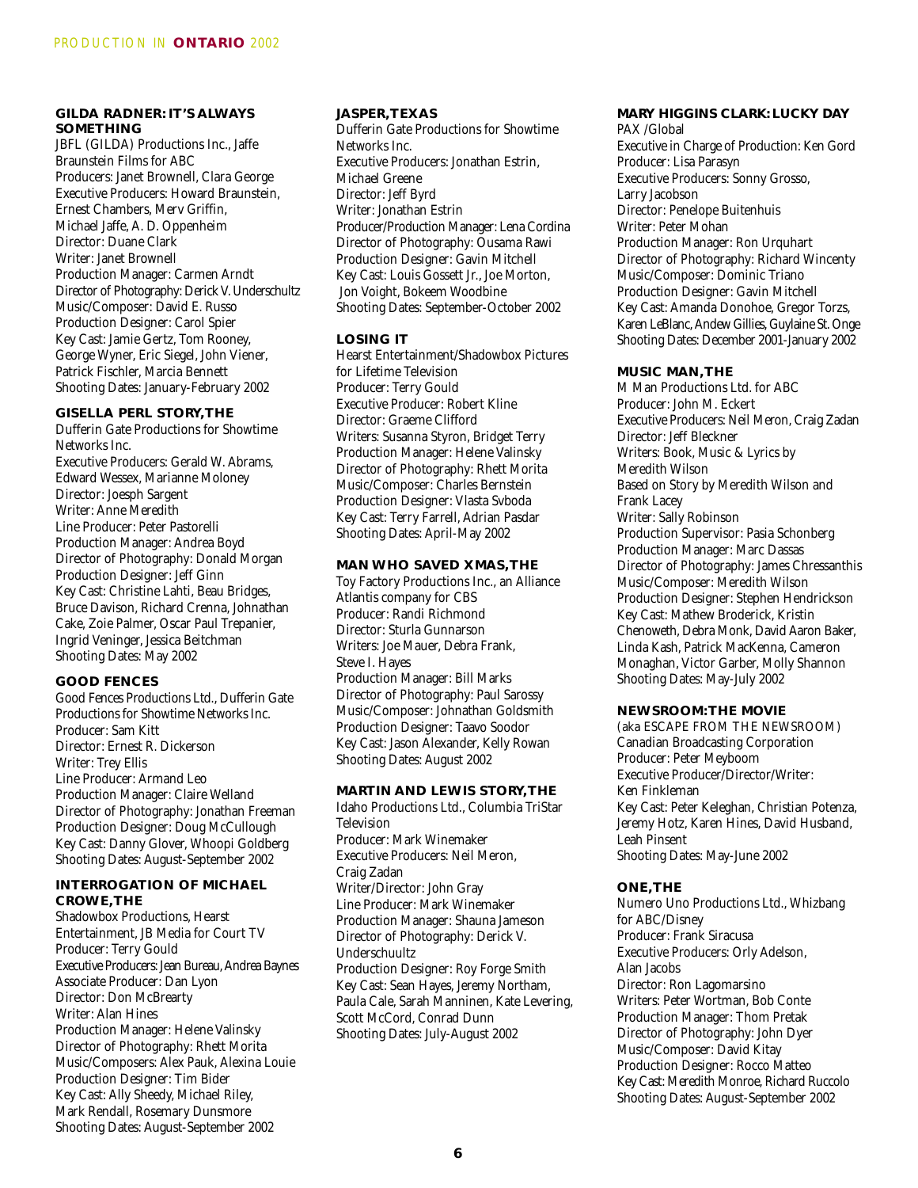## **GILDA RADNER: IT'S ALWAYS SOMETHING**

JBFL (GILDA) Productions Inc., Jaffe Braunstein Films for ABC Producers: Janet Brownell, Clara George Executive Producers: Howard Braunstein, Ernest Chambers, Merv Griffin, Michael Jaffe, A. D. Oppenheim Director: Duane Clark Writer: Janet Brownell Production Manager: Carmen Arndt Director of Photography: Derick V. Underschultz Music/Composer: David E. Russo Production Designer: Carol Spier Key Cast: Jamie Gertz, Tom Rooney, George Wyner, Eric Siegel, John Viener, Patrick Fischler, Marcia Bennett Shooting Dates: January-February 2002

# **GISELLA PERL STORY,THE**

Dufferin Gate Productions for Showtime Networks Inc. Executive Producers: Gerald W. Abrams, Edward Wessex, Marianne Moloney Director: Joesph Sargent Writer: Anne Meredith Line Producer: Peter Pastorelli Production Manager: Andrea Boyd Director of Photography: Donald Morgan Production Designer: Jeff Ginn Key Cast: Christine Lahti, Beau Bridges, Bruce Davison, Richard Crenna, Johnathan Cake, Zoie Palmer, Oscar Paul Trepanier, Ingrid Veninger, Jessica Beitchman Shooting Dates: May 2002

## **GOOD FENCES**

Good Fences Productions Ltd., Dufferin Gate Productions for Showtime Networks Inc. Producer: Sam Kitt Director: Ernest R. Dickerson Writer: Trey Ellis Line Producer: Armand Leo Production Manager: Claire Welland Director of Photography: Jonathan Freeman Production Designer: Doug McCullough Key Cast: Danny Glover, Whoopi Goldberg Shooting Dates: August-September 2002

#### **INTERROGATION OF MICHAEL CROWE,THE**

Shadowbox Productions, Hearst Entertainment, JB Media for Court TV Producer: Terry Gould Executive Producers: Jean Bureau, Andrea Baynes Associate Producer: Dan Lyon Director: Don McBrearty Writer: Alan Hines Production Manager: Helene Valinsky Director of Photography: Rhett Morita Music/Composers: Alex Pauk, Alexina Louie Production Designer: Tim Bider Key Cast: Ally Sheedy, Michael Riley, Mark Rendall, Rosemary Dunsmore Shooting Dates: August-September 2002

# **JASPER,TEXAS**

Dufferin Gate Productions for Showtime Networks Inc. Executive Producers: Jonathan Estrin, Michael Greene Director: Jeff Byrd Writer: Jonathan Estrin Producer/Production Manager: Lena Cordina Director of Photography: Ousama Rawi Production Designer: Gavin Mitchell Key Cast: Louis Gossett Jr., Joe Morton, Jon Voight, Bokeem Woodbine Shooting Dates: September-October 2002

# **LOSING IT**

Hearst Entertainment/Shadowbox Pictures for Lifetime Television Producer: Terry Gould Executive Producer: Robert Kline Director: Graeme Clifford Writers: Susanna Styron, Bridget Terry Production Manager: Helene Valinsky Director of Photography: Rhett Morita Music/Composer: Charles Bernstein Production Designer: Vlasta Svboda Key Cast: Terry Farrell, Adrian Pasdar Shooting Dates: April-May 2002

#### **MAN WHO SAVED XMAS,THE**

Toy Factory Productions Inc., an Alliance Atlantis company for CBS Producer: Randi Richmond Director: Sturla Gunnarson Writers: Joe Mauer, Debra Frank, Steve I. Hayes Production Manager: Bill Marks Director of Photography: Paul Sarossy Music/Composer: Johnathan Goldsmith Production Designer: Taavo Soodor Key Cast: Jason Alexander, Kelly Rowan Shooting Dates: August 2002

## **MARTIN AND LEWIS STORY,THE**

Idaho Productions Ltd., Columbia TriStar Television Producer: Mark Winemaker Executive Producers: Neil Meron, Craig Zadan Writer/Director: John Gray Line Producer: Mark Winemaker Production Manager: Shauna Jameson Director of Photography: Derick V. Underschuultz Production Designer: Roy Forge Smith Key Cast: Sean Hayes, Jeremy Northam, Paula Cale, Sarah Manninen, Kate Levering, Scott McCord, Conrad Dunn Shooting Dates: July-August 2002

# **MARY HIGGINS CLARK: LUCKY DAY**

PAX /Global Executive in Charge of Production: Ken Gord Producer: Lisa Parasyn Executive Producers: Sonny Grosso, Larry Jacobson Director: Penelope Buitenhuis Writer: Peter Mohan Production Manager: Ron Urquhart Director of Photography: Richard Wincenty Music/Composer: Dominic Triano Production Designer: Gavin Mitchell Key Cast: Amanda Donohoe, Gregor Torzs, Karen LeBlanc, Andew Gillies, Guylaine St. Onge Shooting Dates: December 2001-January 2002

#### **MUSIC MAN,THE**

M Man Productions Ltd. for ABC Producer: John M. Eckert Executive Producers: Neil Meron, Craig Zadan Director: Jeff Bleckner Writers: Book, Music & Lyrics by Meredith Wilson Based on Story by Meredith Wilson and Frank Lacey Writer: Sally Robinson Production Supervisor: Pasia Schonberg Production Manager: Marc Dassas Director of Photography: James Chressanthis Music/Composer: Meredith Wilson Production Designer: Stephen Hendrickson Key Cast: Mathew Broderick, Kristin Chenoweth, Debra Monk, David Aaron Baker, Linda Kash, Patrick MacKenna, Cameron Monaghan, Victor Garber, Molly Shannon Shooting Dates: May-July 2002

# **NEWSROOM:THE MOVIE**

(aka ESCAPE FROM THE NEWSROOM) Canadian Broadcasting Corporation Producer: Peter Meyboom Executive Producer/Director/Writer: Ken Finkleman Key Cast: Peter Keleghan, Christian Potenza, Jeremy Hotz, Karen Hines, David Husband, Leah Pinsent Shooting Dates: May-June 2002

# **ONE,THE**

Numero Uno Productions Ltd., Whizbang for ABC/Disney Producer: Frank Siracusa Executive Producers: Orly Adelson, Alan Jacobs Director: Ron Lagomarsino Writers: Peter Wortman, Bob Conte Production Manager: Thom Pretak Director of Photography: John Dyer Music/Composer: David Kitay Production Designer: Rocco Matteo Key Cast: Meredith Monroe, Richard Ruccolo Shooting Dates: August-September 2002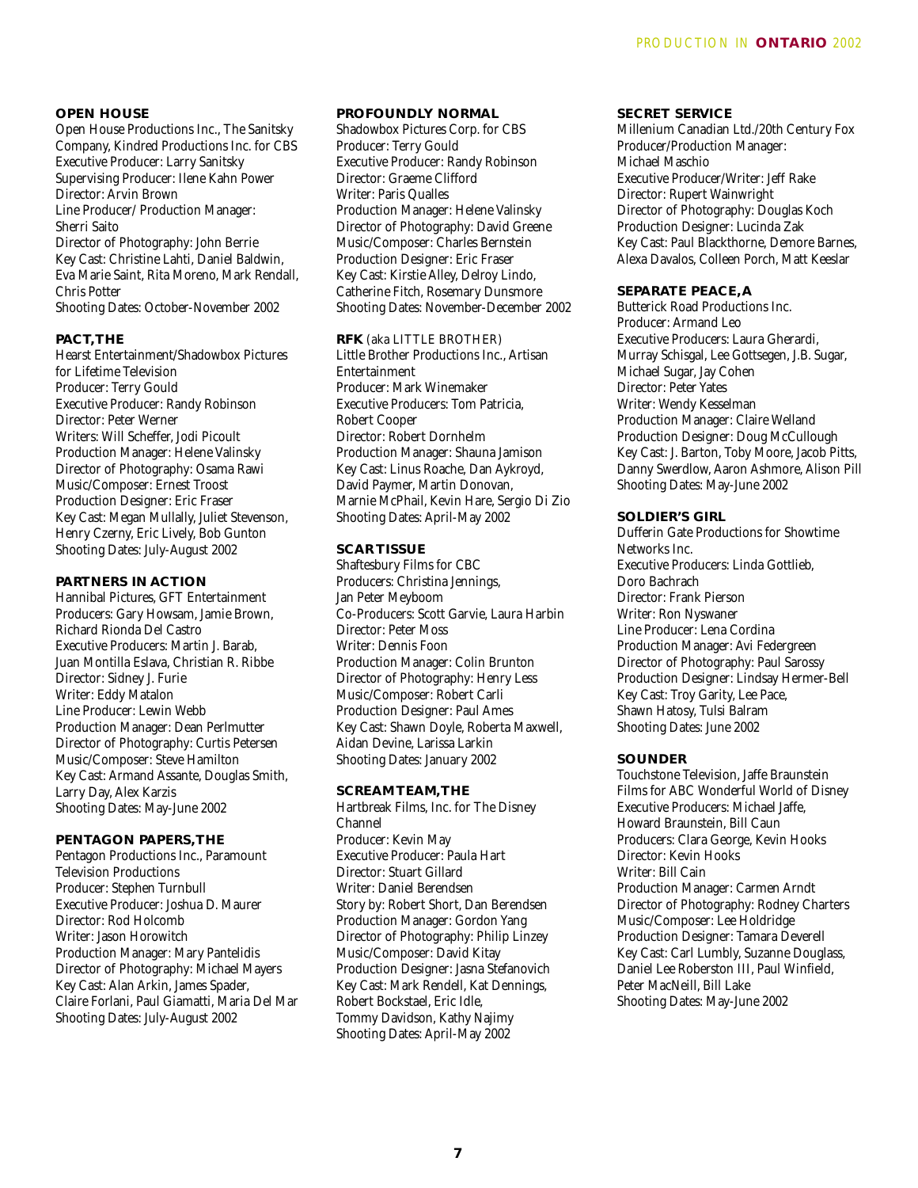#### **OPEN HOUSE**

Open House Productions Inc., The Sanitsky Company, Kindred Productions Inc. for CBS Executive Producer: Larry Sanitsky Supervising Producer: Ilene Kahn Power Director: Arvin Brown Line Producer/ Production Manager: Sherri Saito Director of Photography: John Berrie Key Cast: Christine Lahti, Daniel Baldwin, Eva Marie Saint, Rita Moreno, Mark Rendall, Chris Potter Shooting Dates: October-November 2002

# **PACT,THE**

Hearst Entertainment/Shadowbox Pictures for Lifetime Television Producer: Terry Gould Executive Producer: Randy Robinson Director: Peter Werner Writers: Will Scheffer, Jodi Picoult Production Manager: Helene Valinsky Director of Photography: Osama Rawi Music/Composer: Ernest Troost Production Designer: Eric Fraser Key Cast: Megan Mullally, Juliet Stevenson, Henry Czerny, Eric Lively, Bob Gunton Shooting Dates: July-August 2002

#### **PARTNERS IN ACTION**

Hannibal Pictures, GFT Entertainment Producers: Gary Howsam, Jamie Brown, Richard Rionda Del Castro Executive Producers: Martin J. Barab, Juan Montilla Eslava, Christian R. Ribbe Director: Sidney J. Furie Writer: Eddy Matalon Line Producer: Lewin Webb Production Manager: Dean Perlmutter Director of Photography: Curtis Petersen Music/Composer: Steve Hamilton Key Cast: Armand Assante, Douglas Smith, Larry Day, Alex Karzis Shooting Dates: May-June 2002

#### **PENTAGON PAPERS,THE**

Pentagon Productions Inc., Paramount Television Productions Producer: Stephen Turnbull Executive Producer: Joshua D. Maurer Director: Rod Holcomb Writer: Jason Horowitch Production Manager: Mary Pantelidis Director of Photography: Michael Mayers Key Cast: Alan Arkin, James Spader, Claire Forlani, Paul Giamatti, Maria Del Mar Shooting Dates: July-August 2002

# **PROFOUNDLY NORMAL**

Shadowbox Pictures Corp. for CBS Producer: Terry Gould Executive Producer: Randy Robinson Director: Graeme Clifford Writer: Paris Qualles Production Manager: Helene Valinsky Director of Photography: David Greene Music/Composer: Charles Bernstein Production Designer: Eric Fraser Key Cast: Kirstie Alley, Delroy Lindo, Catherine Fitch, Rosemary Dunsmore Shooting Dates: November-December 2002

# **RFK** (aka LITTLE BROTHER)

Little Brother Productions Inc., Artisan Entertainment Producer: Mark Winemaker Executive Producers: Tom Patricia, Robert Cooper Director: Robert Dornhelm Production Manager: Shauna Jamison Key Cast: Linus Roache, Dan Aykroyd, David Paymer, Martin Donovan, Marnie McPhail, Kevin Hare, Sergio Di Zio Shooting Dates: April-May 2002

#### **SCAR TISSUE**

Shaftesbury Films for CBC Producers: Christina Jennings, Jan Peter Meyboom Co-Producers: Scott Garvie, Laura Harbin Director: Peter Moss Writer: Dennis Foon Production Manager: Colin Brunton Director of Photography: Henry Less Music/Composer: Robert Carli Production Designer: Paul Ames Key Cast: Shawn Doyle, Roberta Maxwell, Aidan Devine, Larissa Larkin Shooting Dates: January 2002

#### **SCREAM TEAM,THE**

Hartbreak Films, Inc. for The Disney Channel Producer: Kevin May Executive Producer: Paula Hart Director: Stuart Gillard Writer: Daniel Berendsen Story by: Robert Short, Dan Berendsen Production Manager: Gordon Yang Director of Photography: Philip Linzey Music/Composer: David Kitay Production Designer: Jasna Stefanovich Key Cast: Mark Rendell, Kat Dennings, Robert Bockstael, Eric Idle, Tommy Davidson, Kathy Najimy Shooting Dates: April-May 2002

#### **SECRET SERVICE**

Millenium Canadian Ltd./20th Century Fox Producer/Production Manager: Michael Maschio Executive Producer/Writer: Jeff Rake Director: Rupert Wainwright Director of Photography: Douglas Koch Production Designer: Lucinda Zak Key Cast: Paul Blackthorne, Demore Barnes, Alexa Davalos, Colleen Porch, Matt Keeslar

# **SEPARATE PEACE, A**

Butterick Road Productions Inc. Producer: Armand Leo Executive Producers: Laura Gherardi, Murray Schisgal, Lee Gottsegen, J.B. Sugar, Michael Sugar, Jay Cohen Director: Peter Yates Writer: Wendy Kesselman Production Manager: Claire Welland Production Designer: Doug McCullough Key Cast: J. Barton, Toby Moore, Jacob Pitts, Danny Swerdlow, Aaron Ashmore, Alison Pill Shooting Dates: May-June 2002

#### **SOLDIER'S GIRL**

Dufferin Gate Productions for Showtime Networks Inc. Executive Producers: Linda Gottlieb, Doro Bachrach Director: Frank Pierson Writer: Ron Nyswaner Line Producer: Lena Cordina Production Manager: Avi Federgreen Director of Photography: Paul Sarossy Production Designer: Lindsay Hermer-Bell Key Cast: Troy Garity, Lee Pace, Shawn Hatosy, Tulsi Balram Shooting Dates: June 2002

#### **SOUNDER**

Touchstone Television, Jaffe Braunstein Films for ABC Wonderful World of Disney Executive Producers: Michael Jaffe, Howard Braunstein, Bill Caun Producers: Clara George, Kevin Hooks Director: Kevin Hooks Writer: Bill Cain Production Manager: Carmen Arndt Director of Photography: Rodney Charters Music/Composer: Lee Holdridge Production Designer: Tamara Deverell Key Cast: Carl Lumbly, Suzanne Douglass, Daniel Lee Roberston III, Paul Winfield, Peter MacNeill, Bill Lake Shooting Dates: May-June 2002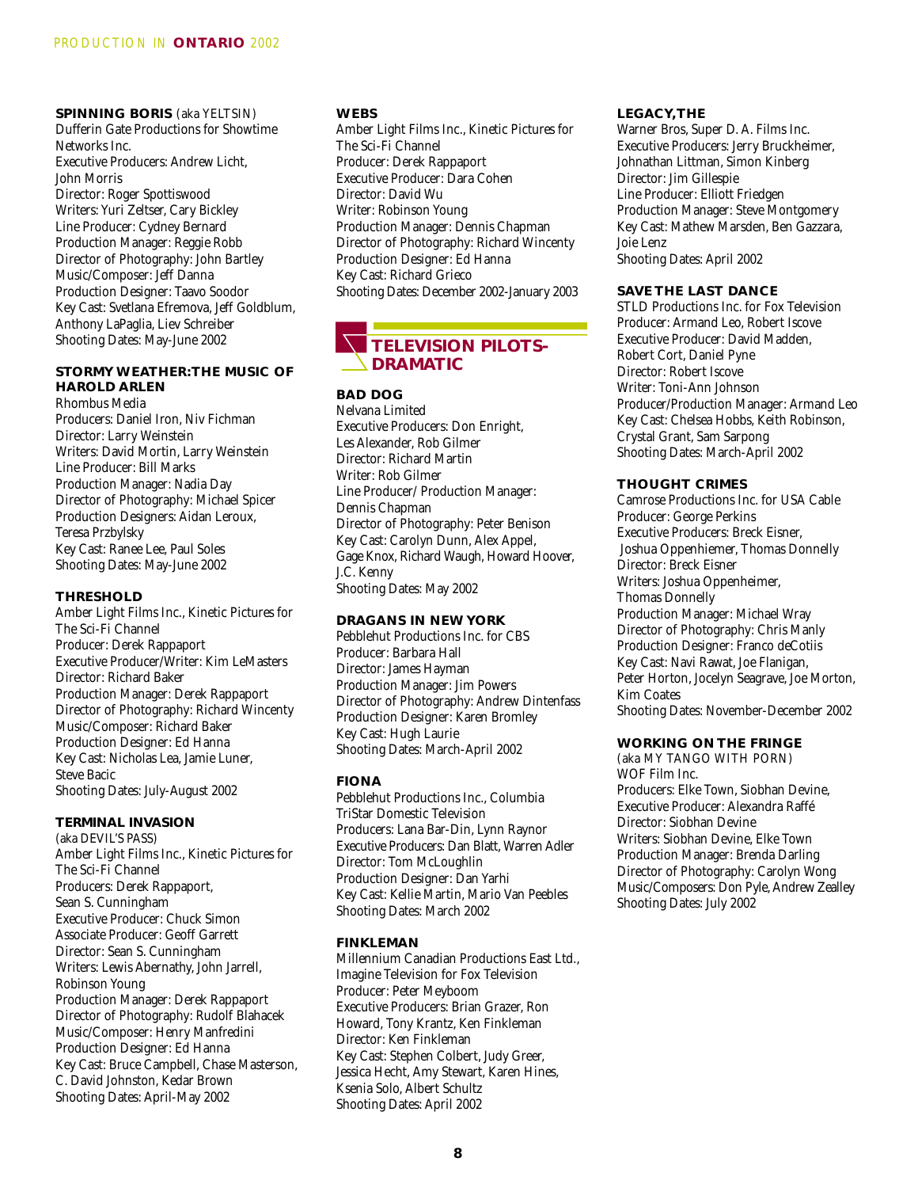**SPINNING BORIS** (aka YELTSIN) Dufferin Gate Productions for Showtime Networks Inc. Executive Producers: Andrew Licht, John Morris Director: Roger Spottiswood Writers: Yuri Zeltser, Cary Bickley Line Producer: Cydney Bernard Production Manager: Reggie Robb Director of Photography: John Bartley Music/Composer: Jeff Danna Production Designer: Taavo Soodor Key Cast: Svetlana Efremova, Jeff Goldblum, Anthony LaPaglia, Liev Schreiber Shooting Dates: May-June 2002

# **STORMY WEATHER:THE MUSIC OF HAROLD ARLEN**

Rhombus Media Producers: Daniel Iron, Niv Fichman Director: Larry Weinstein Writers: David Mortin, Larry Weinstein Line Producer: Bill Marks Production Manager: Nadia Day Director of Photography: Michael Spicer Production Designers: Aidan Leroux, Teresa Przbylsky Key Cast: Ranee Lee, Paul Soles Shooting Dates: May-June 2002

# **THRESHOLD**

Amber Light Films Inc., Kinetic Pictures for The Sci-Fi Channel Producer: Derek Rappaport Executive Producer/Writer: Kim LeMasters Director: Richard Baker Production Manager: Derek Rappaport Director of Photography: Richard Wincenty Music/Composer: Richard Baker Production Designer: Ed Hanna Key Cast: Nicholas Lea, Jamie Luner, Steve Bacic Shooting Dates: July-August 2002

#### **TERMINAL INVASION**

(aka DEVIL'S PASS) Amber Light Films Inc., Kinetic Pictures for The Sci-Fi Channel Producers: Derek Rappaport, Sean S. Cunningham Executive Producer: Chuck Simon Associate Producer: Geoff Garrett Director: Sean S. Cunningham Writers: Lewis Abernathy, John Jarrell, Robinson Young Production Manager: Derek Rappaport Director of Photography: Rudolf Blahacek Music/Composer: Henry Manfredini Production Designer: Ed Hanna Key Cast: Bruce Campbell, Chase Masterson, C. David Johnston, Kedar Brown Shooting Dates: April-May 2002

## **WEBS**

Amber Light Films Inc., Kinetic Pictures for The Sci-Fi Channel Producer: Derek Rappaport Executive Producer: Dara Cohen Director: David Wu Writer: Robinson Young Production Manager: Dennis Chapman Director of Photography: Richard Wincenty Production Designer: Ed Hanna Key Cast: Richard Grieco Shooting Dates: December 2002-January 2003

# **TELEVISION PILOTS-DRAMATIC**

**BAD DOG**

Nelvana Limited Executive Producers: Don Enright, Les Alexander, Rob Gilmer Director: Richard Martin Writer: Rob Gilmer Line Producer/ Production Manager: Dennis Chapman Director of Photography: Peter Benison Key Cast: Carolyn Dunn, Alex Appel, Gage Knox, Richard Waugh, Howard Hoover, J.C. Kenny Shooting Dates: May 2002

# **DRAGANS IN NEW YORK**

Pebblehut Productions Inc. for CBS Producer: Barbara Hall Director: James Hayman Production Manager: Jim Powers Director of Photography: Andrew Dintenfass Production Designer: Karen Bromley Key Cast: Hugh Laurie Shooting Dates: March-April 2002

# **FIONA**

Pebblehut Productions Inc., Columbia TriStar Domestic Television Producers: Lana Bar-Din, Lynn Raynor Executive Producers: Dan Blatt, Warren Adler Director: Tom McLoughlin Production Designer: Dan Yarhi Key Cast: Kellie Martin, Mario Van Peebles Shooting Dates: March 2002

#### **FINKLEMAN**

Millennium Canadian Productions East Ltd., Imagine Television for Fox Television Producer: Peter Meyboom Executive Producers: Brian Grazer, Ron Howard, Tony Krantz, Ken Finkleman Director: Ken Finkleman Key Cast: Stephen Colbert, Judy Greer, Jessica Hecht, Amy Stewart, Karen Hines, Ksenia Solo, Albert Schultz Shooting Dates: April 2002

#### **LEGACY,THE**

Warner Bros, Super D. A. Films Inc. Executive Producers: Jerry Bruckheimer, Johnathan Littman, Simon Kinberg Director: Jim Gillespie Line Producer: Elliott Friedgen Production Manager: Steve Montgomery Key Cast: Mathew Marsden, Ben Gazzara, Joie Lenz Shooting Dates: April 2002

#### **SAVE THE LAST DANCE**

STLD Productions Inc. for Fox Television Producer: Armand Leo, Robert Iscove Executive Producer: David Madden, Robert Cort, Daniel Pyne Director: Robert Iscove Writer: Toni-Ann Johnson Producer/Production Manager: Armand Leo Key Cast: Chelsea Hobbs, Keith Robinson, Crystal Grant, Sam Sarpong Shooting Dates: March-April 2002

#### **THOUGHT CRIMES**

Camrose Productions Inc. for USA Cable Producer: George Perkins Executive Producers: Breck Eisner, Joshua Oppenhiemer, Thomas Donnelly Director: Breck Eisner Writers: Joshua Oppenheimer, Thomas Donnelly Production Manager: Michael Wray Director of Photography: Chris Manly Production Designer: Franco deCotiis Key Cast: Navi Rawat, Joe Flanigan, Peter Horton, Jocelyn Seagrave, Joe Morton, Kim Coates Shooting Dates: November-December 2002

#### **WORKING ON THE FRINGE**

(aka MY TANGO WITH PORN) WOF Film Inc. Producers: Elke Town, Siobhan Devine, Executive Producer: Alexandra Raffé Director: Siobhan Devine Writers: Siobhan Devine, Elke Town Production Manager: Brenda Darling Director of Photography: Carolyn Wong Music/Composers: Don Pyle, Andrew Zealley Shooting Dates: July 2002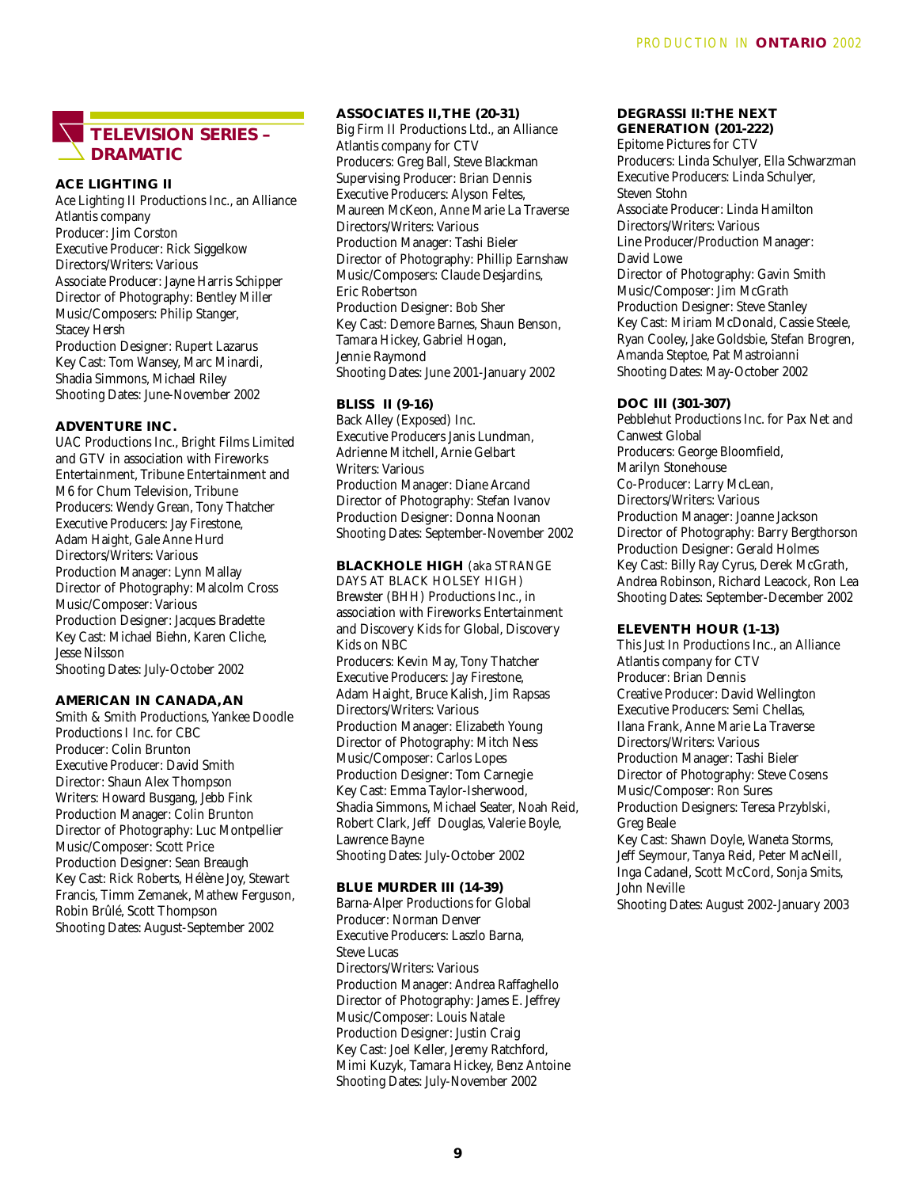# **TELEVISION SERIES – DRAMATIC**

**ACE LIGHTING II** Ace Lighting II Productions Inc., an Alliance Atlantis company Producer: Jim Corston Executive Producer: Rick Siggelkow Directors/Writers: Various Associate Producer: Jayne Harris Schipper Director of Photography: Bentley Miller Music/Composers: Philip Stanger, Stacey Hersh Production Designer: Rupert Lazarus Key Cast: Tom Wansey, Marc Minardi, Shadia Simmons, Michael Riley Shooting Dates: June-November 2002

#### **ADVENTURE INC.**

UAC Productions Inc., Bright Films Limited and GTV in association with Fireworks Entertainment, Tribune Entertainment and M6 for Chum Television, Tribune Producers: Wendy Grean, Tony Thatcher Executive Producers: Jay Firestone, Adam Haight, Gale Anne Hurd Directors/Writers: Various Production Manager: Lynn Mallay Director of Photography: Malcolm Cross Music/Composer: Various Production Designer: Jacques Bradette Key Cast: Michael Biehn, Karen Cliche, Jesse Nilsson Shooting Dates: July-October 2002

# **AMERICAN IN CANADA, AN**

Smith & Smith Productions, Yankee Doodle Productions I Inc. for CBC Producer: Colin Brunton Executive Producer: David Smith Director: Shaun Alex Thompson Writers: Howard Busgang, Jebb Fink Production Manager: Colin Brunton Director of Photography: Luc Montpellier Music/Composer: Scott Price Production Designer: Sean Breaugh Key Cast: Rick Roberts, Hélène Joy, Stewart Francis, Timm Zemanek, Mathew Ferguson, Robin Brûlé, Scott Thompson Shooting Dates: August-September 2002

# **ASSOCIATES II,THE (20-31)**

Big Firm II Productions Ltd., an Alliance Atlantis company for CTV Producers: Greg Ball, Steve Blackman Supervising Producer: Brian Dennis Executive Producers: Alyson Feltes, Maureen McKeon, Anne Marie La Traverse Directors/Writers: Various Production Manager: Tashi Bieler Director of Photography: Phillip Earnshaw Music/Composers: Claude Desjardins, Eric Robertson Production Designer: Bob Sher Key Cast: Demore Barnes, Shaun Benson, Tamara Hickey, Gabriel Hogan, Jennie Raymond Shooting Dates: June 2001-January 2002

# **BLISS II (9-16)**

Back Alley (Exposed) Inc. Executive Producers Janis Lundman, Adrienne Mitchell, Arnie Gelbart Writers: Various Production Manager: Diane Arcand Director of Photography: Stefan Ivanov Production Designer: Donna Noonan Shooting Dates: September-November 2002

# **BLACKHOLE HIGH** (aka STRANGE

DAYS AT BLACK HOLSEY HIGH) Brewster (BHH) Productions Inc., in association with Fireworks Entertainment and Discovery Kids for Global, Discovery Kids on NBC Producers: Kevin May, Tony Thatcher Executive Producers: Jay Firestone, Adam Haight, Bruce Kalish, Jim Rapsas Directors/Writers: Various Production Manager: Elizabeth Young Director of Photography: Mitch Ness Music/Composer: Carlos Lopes Production Designer: Tom Carnegie Key Cast: Emma Taylor-Isherwood, Shadia Simmons, Michael Seater, Noah Reid, Robert Clark, Jeff Douglas, Valerie Boyle, Lawrence Bayne Shooting Dates: July-October 2002

#### **BLUE MURDER III (14-39)**

Barna-Alper Productions for Global Producer: Norman Denver Executive Producers: Laszlo Barna, Steve Lucas Directors/Writers: Various Production Manager: Andrea Raffaghello Director of Photography: James E. Jeffrey Music/Composer: Louis Natale Production Designer: Justin Craig Key Cast: Joel Keller, Jeremy Ratchford, Mimi Kuzyk, Tamara Hickey, Benz Antoine Shooting Dates: July-November 2002

# **DEGRASSI II:THE NEXT**

**GENERATION (201-222)** Epitome Pictures for CTV Producers: Linda Schulyer, Ella Schwarzman Executive Producers: Linda Schulyer, Steven Stohn Associate Producer: Linda Hamilton Directors/Writers: Various Line Producer/Production Manager: David Lowe Director of Photography: Gavin Smith Music/Composer: Jim McGrath Production Designer: Steve Stanley Key Cast: Miriam McDonald, Cassie Steele, Ryan Cooley, Jake Goldsbie, Stefan Brogren, Amanda Steptoe, Pat Mastroianni Shooting Dates: May-October 2002

#### **DOC III (301-307)**

Pebblehut Productions Inc. for Pax Net and Canwest Global Producers: George Bloomfield, Marilyn Stonehouse Co-Producer: Larry McLean, Directors/Writers: Various Production Manager: Joanne Jackson Director of Photography: Barry Bergthorson Production Designer: Gerald Holmes Key Cast: Billy Ray Cyrus, Derek McGrath, Andrea Robinson, Richard Leacock, Ron Lea Shooting Dates: September-December 2002

#### **ELEVENTH HOUR (1-13)**

This Just In Productions Inc., an Alliance Atlantis company for CTV Producer: Brian Dennis Creative Producer: David Wellington Executive Producers: Semi Chellas, Ilana Frank, Anne Marie La Traverse Directors/Writers: Various Production Manager: Tashi Bieler Director of Photography: Steve Cosens Music/Composer: Ron Sures Production Designers: Teresa Przyblski, Greg Beale Key Cast: Shawn Doyle, Waneta Storms, Jeff Seymour, Tanya Reid, Peter MacNeill,

Inga Cadanel, Scott McCord, Sonja Smits, John Neville

Shooting Dates: August 2002-January 2003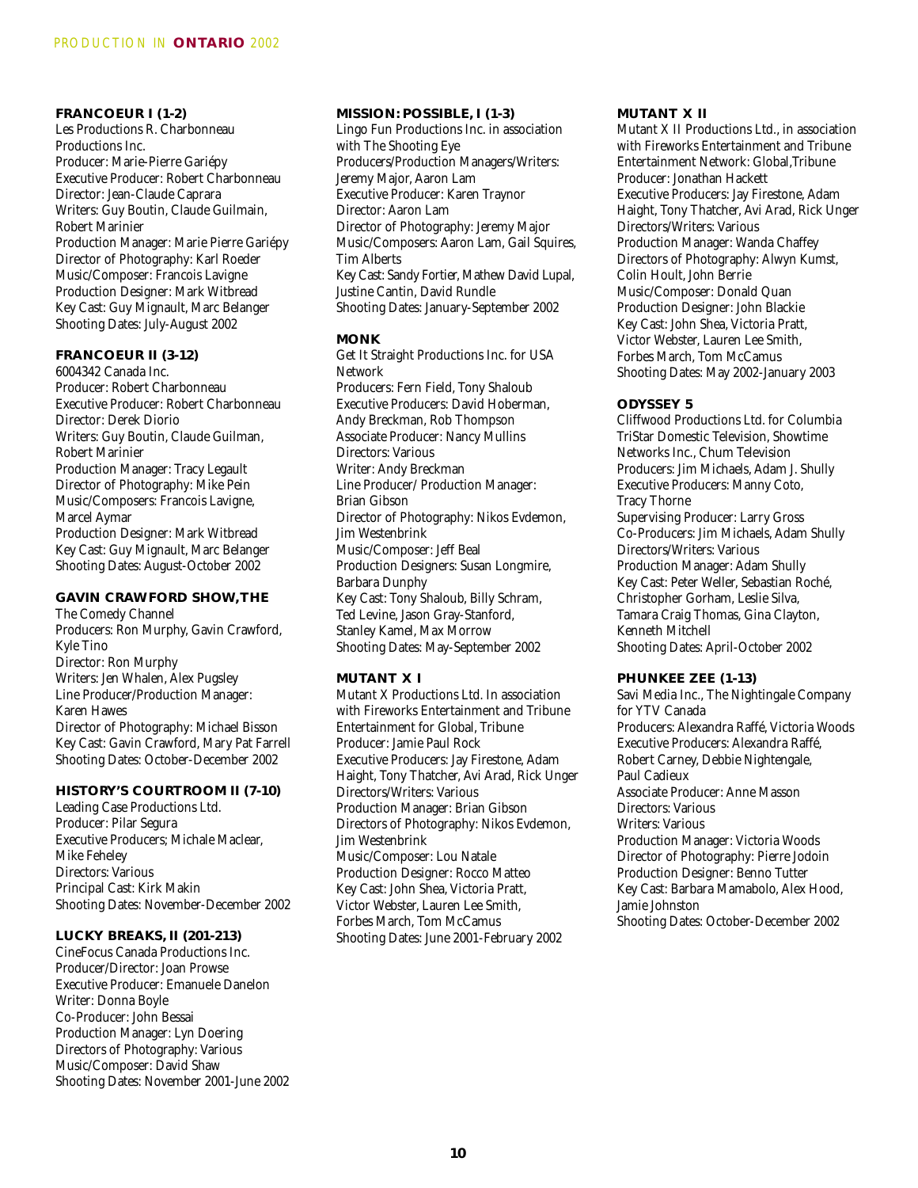**FRANCOEUR I (1-2)** Les Productions R. Charbonneau Productions Inc. Producer: Marie-Pierre Gariépy Executive Producer: Robert Charbonneau Director: Jean-Claude Caprara Writers: Guy Boutin, Claude Guilmain, Robert Marinier Production Manager: Marie Pierre Gariépy Director of Photography: Karl Roeder Music/Composer: Francois Lavigne Production Designer: Mark Witbread Key Cast: Guy Mignault, Marc Belanger Shooting Dates: July-August 2002

# **FRANCOEUR II (3-12)** 6004342 Canada Inc.

Producer: Robert Charbonneau Executive Producer: Robert Charbonneau Director: Derek Diorio Writers: Guy Boutin, Claude Guilman, Robert Marinier Production Manager: Tracy Legault Director of Photography: Mike Pein Music/Composers: Francois Lavigne, Marcel Aymar Production Designer: Mark Witbread Key Cast: Guy Mignault, Marc Belanger Shooting Dates: August-October 2002

# **GAVIN CRAWFORD SHOW,THE**

The Comedy Channel Producers: Ron Murphy, Gavin Crawford, Kyle Tino Director: Ron Murphy Writers: Jen Whalen, Alex Pugsley Line Producer/Production Manager: Karen Hawes Director of Photography: Michael Bisson Key Cast: Gavin Crawford, Mary Pat Farrell Shooting Dates: October-December 2002

# **HISTORY'S COURTROOM II (7-10)**

Leading Case Productions Ltd. Producer: Pilar Segura Executive Producers; Michale Maclear, Mike Feheley Directors: Various Principal Cast: Kirk Makin Shooting Dates: November-December 2002

#### **LUCKY BREAKS, II (201-213)**

CineFocus Canada Productions Inc. Producer/Director: Joan Prowse Executive Producer: Emanuele Danelon Writer: Donna Boyle Co-Producer: John Bessai Production Manager: Lyn Doering Directors of Photography: Various Music/Composer: David Shaw Shooting Dates: November 2001-June 2002

#### **MISSION: POSSIBLE, I (1-3)**

Lingo Fun Productions Inc. in association with The Shooting Eye Producers/Production Managers/Writers: Jeremy Major, Aaron Lam Executive Producer: Karen Traynor Director: Aaron Lam Director of Photography: Jeremy Major Music/Composers: Aaron Lam, Gail Squires, Tim Alberts Key Cast: Sandy Fortier, Mathew David Lupal, Justine Cantin, David Rundle Shooting Dates: January-September 2002

#### **MONK**

Get It Straight Productions Inc. for USA Network Producers: Fern Field, Tony Shaloub Executive Producers: David Hoberman, Andy Breckman, Rob Thompson Associate Producer: Nancy Mullins Directors: Various Writer: Andy Breckman Line Producer/ Production Manager: Brian Gibson Director of Photography: Nikos Evdemon, Jim Westenbrink Music/Composer: Jeff Beal Production Designers: Susan Longmire, Barbara Dunphy Key Cast: Tony Shaloub, Billy Schram, Ted Levine, Jason Gray-Stanford, Stanley Kamel, Max Morrow Shooting Dates: May-September 2002

## **MUTANT X I**

Mutant X Productions Ltd. In association with Fireworks Entertainment and Tribune Entertainment for Global, Tribune Producer: Jamie Paul Rock Executive Producers: Jay Firestone, Adam Haight, Tony Thatcher, Avi Arad, Rick Unger Directors/Writers: Various Production Manager: Brian Gibson Directors of Photography: Nikos Evdemon, Jim Westenbrink Music/Composer: Lou Natale Production Designer: Rocco Matteo Key Cast: John Shea, Victoria Pratt, Victor Webster, Lauren Lee Smith, Forbes March, Tom McCamus Shooting Dates: June 2001-February 2002

#### **MUTANT X II**

Mutant X II Productions Ltd., in association with Fireworks Entertainment and Tribune Entertainment Network: Global,Tribune Producer: Jonathan Hackett Executive Producers: Jay Firestone, Adam Haight, Tony Thatcher, Avi Arad, Rick Unger Directors/Writers: Various Production Manager: Wanda Chaffey Directors of Photography: Alwyn Kumst, Colin Hoult, John Berrie Music/Composer: Donald Quan Production Designer: John Blackie Key Cast: John Shea, Victoria Pratt, Victor Webster, Lauren Lee Smith, Forbes March, Tom McCamus Shooting Dates: May 2002-January 2003

#### **ODYSSEY 5**

Cliffwood Productions Ltd. for Columbia TriStar Domestic Television, Showtime Networks Inc., Chum Television Producers: Jim Michaels, Adam J. Shully Executive Producers: Manny Coto, Tracy Thorne Supervising Producer: Larry Gross Co-Producers: Jim Michaels, Adam Shully Directors/Writers: Various Production Manager: Adam Shully Key Cast: Peter Weller, Sebastian Roché, Christopher Gorham, Leslie Silva, Tamara Craig Thomas, Gina Clayton, Kenneth Mitchell Shooting Dates: April-October 2002

#### **PHUNKEE ZEE (1-13)**

Savi Media Inc., The Nightingale Company for YTV Canada Producers: Alexandra Raffé, Victoria Woods Executive Producers: Alexandra Raffé, Robert Carney, Debbie Nightengale, Paul Cadieux Associate Producer: Anne Masson Directors: Various Writers: Various Production Manager: Victoria Woods Director of Photography: Pierre Jodoin Production Designer: Benno Tutter Key Cast: Barbara Mamabolo, Alex Hood, Jamie Johnston Shooting Dates: October-December 2002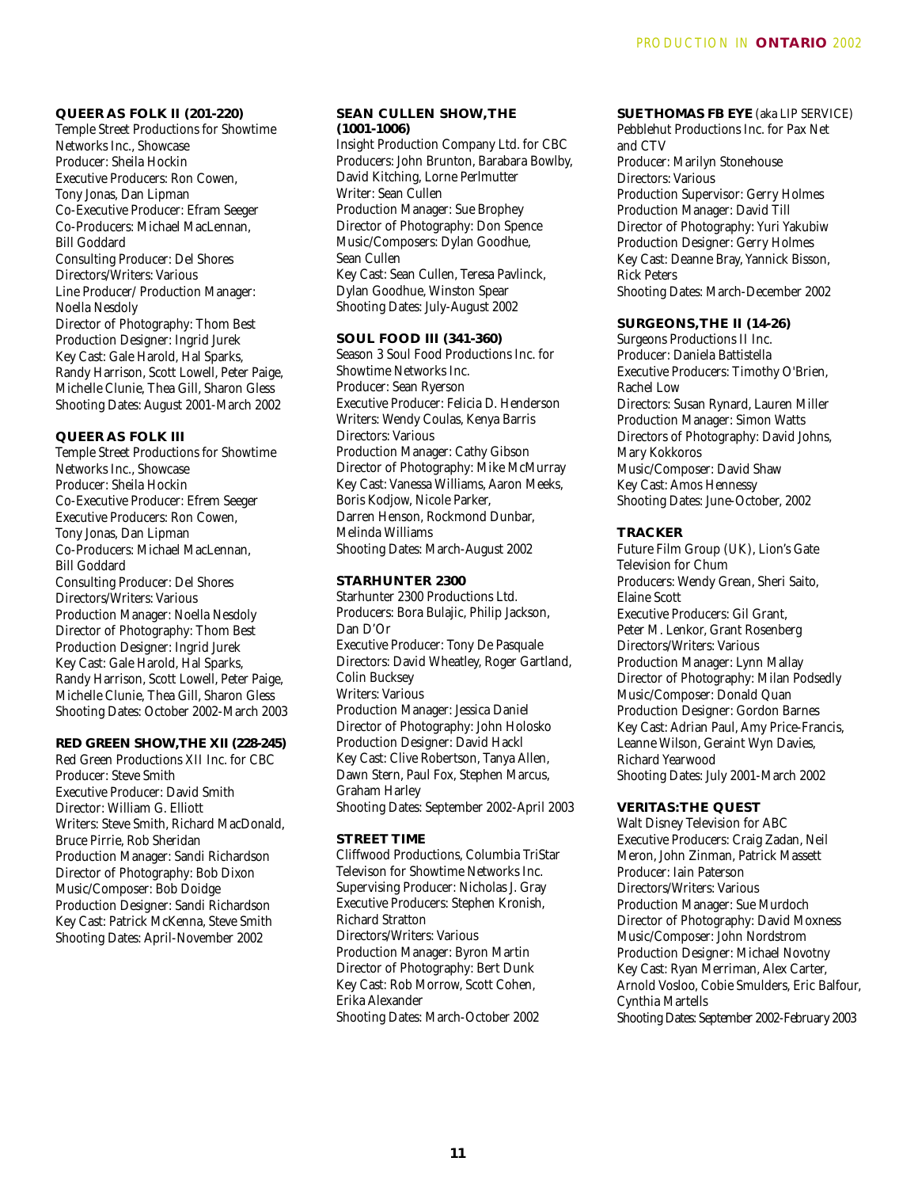# **QUEER AS FOLK II (201-220)**

Temple Street Productions for Showtime Networks Inc., Showcase Producer: Sheila Hockin Executive Producers: Ron Cowen, Tony Jonas, Dan Lipman Co-Executive Producer: Efram Seeger Co-Producers: Michael MacLennan, Bill Goddard Consulting Producer: Del Shores Directors/Writers: Various Line Producer/ Production Manager: Noella Nesdoly Director of Photography: Thom Best Production Designer: Ingrid Jurek Key Cast: Gale Harold, Hal Sparks, Randy Harrison, Scott Lowell, Peter Paige, Michelle Clunie, Thea Gill, Sharon Gless Shooting Dates: August 2001-March 2002

# **QUEER AS FOLK III**

Temple Street Productions for Showtime Networks Inc., Showcase Producer: Sheila Hockin Co-Executive Producer: Efrem Seeger Executive Producers: Ron Cowen, Tony Jonas, Dan Lipman Co-Producers: Michael MacLennan, Bill Goddard Consulting Producer: Del Shores Directors/Writers: Various Production Manager: Noella Nesdoly Director of Photography: Thom Best Production Designer: Ingrid Jurek Key Cast: Gale Harold, Hal Sparks, Randy Harrison, Scott Lowell, Peter Paige, Michelle Clunie, Thea Gill, Sharon Gless Shooting Dates: October 2002-March 2003

#### **RED GREEN SHOW,THE XII (228-245)**

Red Green Productions XII Inc. for CBC Producer: Steve Smith Executive Producer: David Smith Director: William G. Elliott Writers: Steve Smith, Richard MacDonald, Bruce Pirrie, Rob Sheridan Production Manager: Sandi Richardson Director of Photography: Bob Dixon Music/Composer: Bob Doidge Production Designer: Sandi Richardson Key Cast: Patrick McKenna, Steve Smith Shooting Dates: April-November 2002

### **SEAN CULLEN SHOW,THE (1001-1006)**

Insight Production Company Ltd. for CBC Producers: John Brunton, Barabara Bowlby, David Kitching, Lorne Perlmutter Writer: Sean Cullen Production Manager: Sue Brophey Director of Photography: Don Spence Music/Composers: Dylan Goodhue, Sean Cullen Key Cast: Sean Cullen, Teresa Pavlinck, Dylan Goodhue, Winston Spear Shooting Dates: July-August 2002

#### **SOUL FOOD III (341-360)**

Season 3 Soul Food Productions Inc. for Showtime Networks Inc. Producer: Sean Ryerson Executive Producer: Felicia D. Henderson Writers: Wendy Coulas, Kenya Barris Directors: Various Production Manager: Cathy Gibson Director of Photography: Mike McMurray Key Cast: Vanessa Williams, Aaron Meeks, Boris Kodjow, Nicole Parker, Darren Henson, Rockmond Dunbar, Melinda Williams Shooting Dates: March-August 2002

#### **STARHUNTER 2300**

Starhunter 2300 Productions Ltd. Producers: Bora Bulajic, Philip Jackson, Dan D'Or Executive Producer: Tony De Pasquale Directors: David Wheatley, Roger Gartland, Colin Bucksey Writers: Various Production Manager: Jessica Daniel Director of Photography: John Holosko Production Designer: David Hackl Key Cast: Clive Robertson, Tanya Allen, Dawn Stern, Paul Fox, Stephen Marcus, Graham Harley Shooting Dates: September 2002-April 2003

#### **STREET TIME**

Cliffwood Productions, Columbia TriStar Televison for Showtime Networks Inc. Supervising Producer: Nicholas J. Gray Executive Producers: Stephen Kronish, Richard Stratton Directors/Writers: Various Production Manager: Byron Martin Director of Photography: Bert Dunk Key Cast: Rob Morrow, Scott Cohen, Erika Alexander Shooting Dates: March-October 2002

# **SUE THOMAS FB EYE** (aka LIP SERVICE)

Pebblehut Productions Inc. for Pax Net and CTV Producer: Marilyn Stonehouse Directors: Various Production Supervisor: Gerry Holmes Production Manager: David Till Director of Photography: Yuri Yakubiw Production Designer: Gerry Holmes Key Cast: Deanne Bray, Yannick Bisson, Rick Peters Shooting Dates: March-December 2002

#### **SURGEONS,THE II (14-26)**

Surgeons Productions II Inc. Producer: Daniela Battistella Executive Producers: Timothy O'Brien, Rachel Low Directors: Susan Rynard, Lauren Miller Production Manager: Simon Watts Directors of Photography: David Johns, Mary Kokkoros Music/Composer: David Shaw Key Cast: Amos Hennessy Shooting Dates: June-October, 2002

#### **TRACKER**

Future Film Group (UK), Lion's Gate Television for Chum Producers: Wendy Grean, Sheri Saito, Elaine Scott Executive Producers: Gil Grant, Peter M. Lenkor, Grant Rosenberg Directors/Writers: Various Production Manager: Lynn Mallay Director of Photography: Milan Podsedly Music/Composer: Donald Quan Production Designer: Gordon Barnes Key Cast: Adrian Paul, Amy Price-Francis, Leanne Wilson, Geraint Wyn Davies, Richard Yearwood Shooting Dates: July 2001-March 2002

#### **VERITAS:THE QUEST**

Walt Disney Television for ABC Executive Producers: Craig Zadan, Neil Meron, John Zinman, Patrick Massett Producer: Iain Paterson Directors/Writers: Various Production Manager: Sue Murdoch Director of Photography: David Moxness Music/Composer: John Nordstrom Production Designer: Michael Novotny Key Cast: Ryan Merriman, Alex Carter, Arnold Vosloo, Cobie Smulders, Eric Balfour, Cynthia Martells Shooting Dates: September 2002-February 2003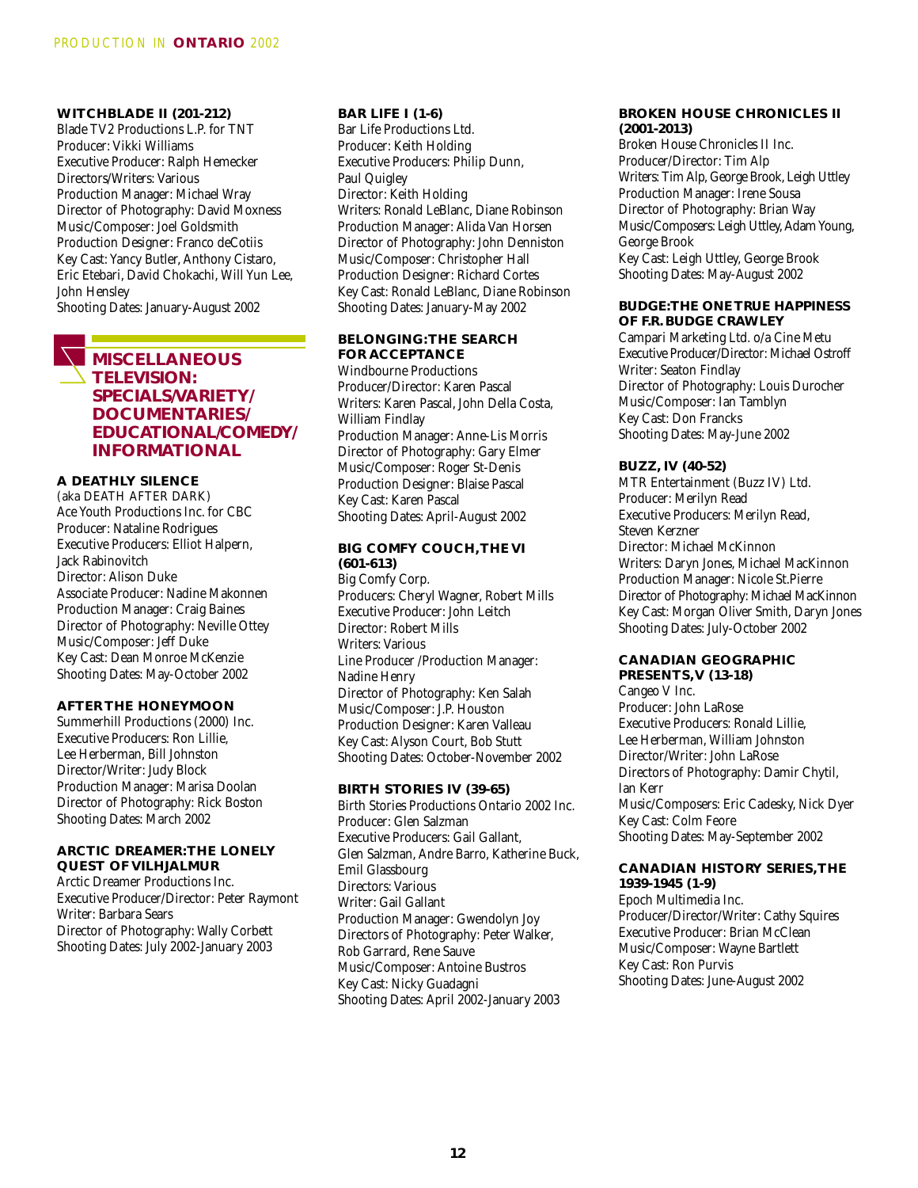**WITCHBLADE II (201-212)** Blade TV2 Productions L.P. for TNT Producer: Vikki Williams Executive Producer: Ralph Hemecker Directors/Writers: Various Production Manager: Michael Wray Director of Photography: David Moxness Music/Composer: Joel Goldsmith Production Designer: Franco deCotiis Key Cast: Yancy Butler, Anthony Cistaro, Eric Etebari, David Chokachi, Will Yun Lee, John Hensley

Shooting Dates: January-August 2002

# **MISCELLANEOUS TELEVISION: SPECIALS/VARIETY/ DOCUMENTARIES/ EDUCATIONAL/COMEDY/ INFORMATIONAL**

# **A DEATHLY SILENCE**

(aka DEATH AFTER DARK) Ace Youth Productions Inc. for CBC Producer: Nataline Rodrigues Executive Producers: Elliot Halpern, Jack Rabinovitch Director: Alison Duke Associate Producer: Nadine Makonnen Production Manager: Craig Baines Director of Photography: Neville Ottey Music/Composer: Jeff Duke Key Cast: Dean Monroe McKenzie Shooting Dates: May-October 2002

# **AFTER THE HONEYMOON**

Summerhill Productions (2000) Inc. Executive Producers: Ron Lillie, Lee Herberman, Bill Johnston Director/Writer: Judy Block Production Manager: Marisa Doolan Director of Photography: Rick Boston Shooting Dates: March 2002

# **ARCTIC DREAMER:THE LONELY QUEST OF VILHJALMUR**

Arctic Dreamer Productions Inc. Executive Producer/Director: Peter Raymont Writer: Barbara Sears Director of Photography: Wally Corbett Shooting Dates: July 2002-January 2003

#### **BAR LIFE I (1-6)**

Bar Life Productions Ltd. Producer: Keith Holding Executive Producers: Philip Dunn, Paul Quigley Director: Keith Holding Writers: Ronald LeBlanc, Diane Robinson Production Manager: Alida Van Horsen Director of Photography: John Denniston Music/Composer: Christopher Hall Production Designer: Richard Cortes Key Cast: Ronald LeBlanc, Diane Robinson Shooting Dates: January-May 2002

# **BELONGING:THE SEARCH FOR ACCEPTANCE**

Windbourne Productions Producer/Director: Karen Pascal Writers: Karen Pascal, John Della Costa, William Findlay Production Manager: Anne-Lis Morris Director of Photography: Gary Elmer Music/Composer: Roger St-Denis Production Designer: Blaise Pascal Key Cast: Karen Pascal Shooting Dates: April-August 2002

#### **BIG COMFY COUCH,THE VI (601-613)**

Big Comfy Corp. Producers: Cheryl Wagner, Robert Mills Executive Producer: John Leitch Director: Robert Mills Writers: Various Line Producer /Production Manager: Nadine Henry Director of Photography: Ken Salah Music/Composer: J.P. Houston Production Designer: Karen Valleau Key Cast: Alyson Court, Bob Stutt Shooting Dates: October-November 2002

#### **BIRTH STORIES IV (39-65)**

Birth Stories Productions Ontario 2002 Inc. Producer: Glen Salzman Executive Producers: Gail Gallant, Glen Salzman, Andre Barro, Katherine Buck, Emil Glassbourg Directors: Various Writer: Gail Gallant Production Manager: Gwendolyn Joy Directors of Photography: Peter Walker, Rob Garrard, Rene Sauve Music/Composer: Antoine Bustros Key Cast: Nicky Guadagni Shooting Dates: April 2002-January 2003

#### **BROKEN HOUSE CHRONICLES II (2001-2013)**

Broken House Chronicles II Inc. Producer/Director: Tim Alp Writers: Tim Alp, George Brook, Leigh Uttley Production Manager: Irene Sousa Director of Photography: Brian Way Music/Composers: Leigh Uttley, Adam Young, George Brook Key Cast: Leigh Uttley, George Brook Shooting Dates: May-August 2002

#### **BUDGE:THE ONE TRUE HAPPINESS OF F.R. BUDGE CRAWLEY**

Campari Marketing Ltd. o/a Cine Metu Executive Producer/Director: Michael Ostroff Writer: Seaton Findlay Director of Photography: Louis Durocher Music/Composer: Ian Tamblyn Key Cast: Don Francks Shooting Dates: May-June 2002

## **BUZZ, IV (40-52)**

MTR Entertainment (Buzz IV) Ltd. Producer: Merilyn Read Executive Producers: Merilyn Read, Steven Kerzner Director: Michael McKinnon Writers: Daryn Jones, Michael MacKinnon Production Manager: Nicole St.Pierre Director of Photography: Michael MacKinnon Key Cast: Morgan Oliver Smith, Daryn Jones Shooting Dates: July-October 2002

# **CANADIAN GEOGRAPHIC**

**PRESENTS,V (13-18)** Cangeo V Inc. Producer: John LaRose Executive Producers: Ronald Lillie, Lee Herberman, William Johnston Director/Writer: John LaRose Directors of Photography: Damir Chytil, Ian Kerr Music/Composers: Eric Cadesky, Nick Dyer Key Cast: Colm Feore Shooting Dates: May-September 2002

# **CANADIAN HISTORY SERIES,THE**

**1939-1945 (1-9)** Epoch Multimedia Inc. Producer/Director/Writer: Cathy Squires Executive Producer: Brian McClean Music/Composer: Wayne Bartlett Key Cast: Ron Purvis Shooting Dates: June-August 2002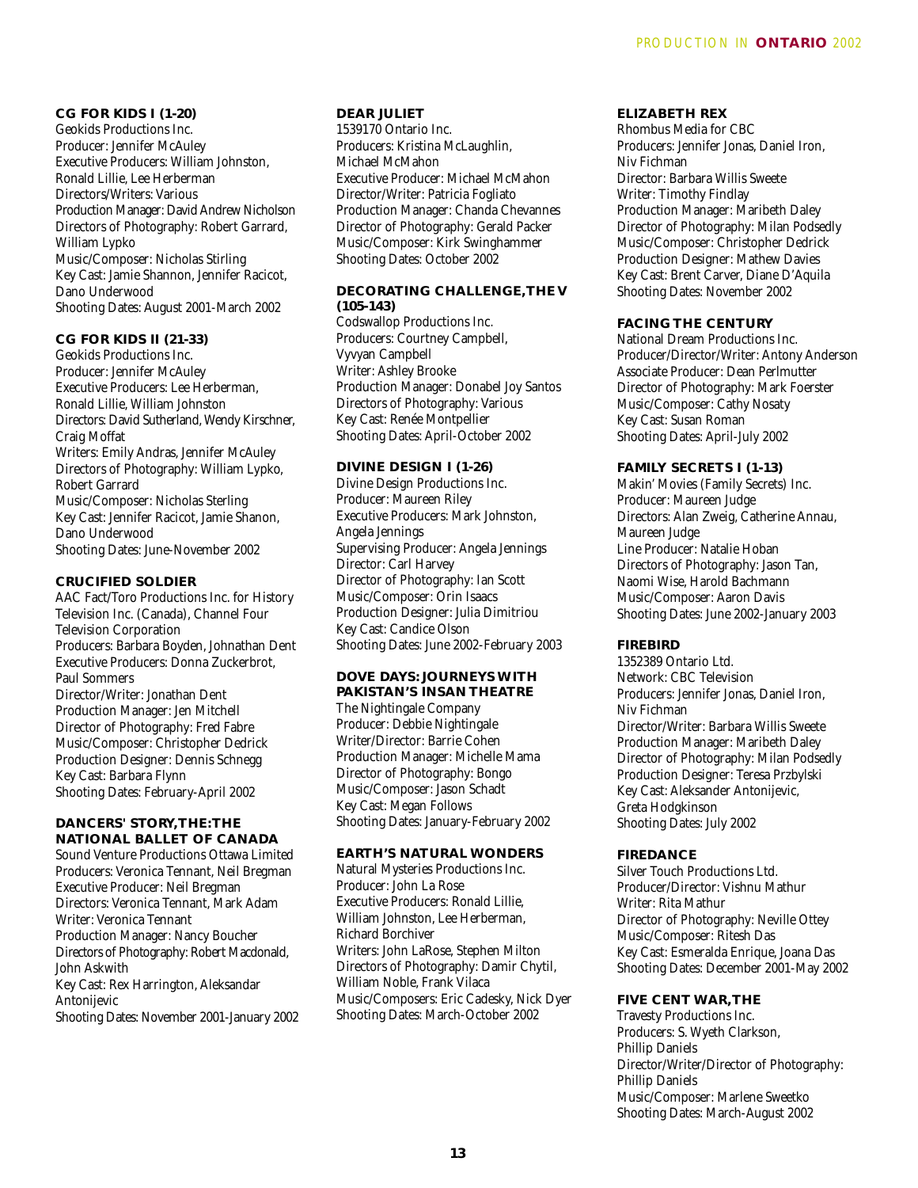**CG FOR KIDS I (1-20)** Geokids Productions Inc. Producer: Jennifer McAuley Executive Producers: William Johnston, Ronald Lillie, Lee Herberman Directors/Writers: Various Production Manager: David Andrew Nicholson Directors of Photography: Robert Garrard, William Lypko Music/Composer: Nicholas Stirling Key Cast: Jamie Shannon, Jennifer Racicot, Dano Underwood Shooting Dates: August 2001-March 2002

**CG FOR KIDS II (21-33)** Geokids Productions Inc. Producer: Jennifer McAuley Executive Producers: Lee Herberman, Ronald Lillie, William Johnston Directors: David Sutherland, Wendy Kirschner, Craig Moffat Writers: Emily Andras, Jennifer McAuley Directors of Photography: William Lypko, Robert Garrard Music/Composer: Nicholas Sterling Key Cast: Jennifer Racicot, Jamie Shanon, Dano Underwood Shooting Dates: June-November 2002

# **CRUCIFIED SOLDIER**

AAC Fact/Toro Productions Inc. for History Television Inc. (Canada), Channel Four Television Corporation Producers: Barbara Boyden, Johnathan Dent Executive Producers: Donna Zuckerbrot, Paul Sommers Director/Writer: Jonathan Dent Production Manager: Jen Mitchell Director of Photography: Fred Fabre Music/Composer: Christopher Dedrick Production Designer: Dennis Schnegg Key Cast: Barbara Flynn Shooting Dates: February-April 2002

**DANCERS' STORY,THE:THE NATIONAL BALLET OF CANADA** Sound Venture Productions Ottawa Limited Producers: Veronica Tennant, Neil Bregman Executive Producer: Neil Bregman Directors: Veronica Tennant, Mark Adam Writer: Veronica Tennant Production Manager: Nancy Boucher Directors of Photography: Robert Macdonald, John Askwith Key Cast: Rex Harrington, Aleksandar **Antonijevic** Shooting Dates: November 2001-January 2002

#### **DEAR JULIET**

1539170 Ontario Inc. Producers: Kristina McLaughlin, Michael McMahon Executive Producer: Michael McMahon Director/Writer: Patricia Fogliato Production Manager: Chanda Chevannes Director of Photography: Gerald Packer Music/Composer: Kirk Swinghammer Shooting Dates: October 2002

#### **DECORATING CHALLENGE,THE V (105-143)**

Codswallop Productions Inc. Producers: Courtney Campbell, Vyvyan Campbell Writer: Ashley Brooke Production Manager: Donabel Joy Santos Directors of Photography: Various Key Cast: Renée Montpellier Shooting Dates: April-October 2002

# **DIVINE DESIGN I (1-26)**

Divine Design Productions Inc. Producer: Maureen Riley Executive Producers: Mark Johnston, Angela Jennings Supervising Producer: Angela Jennings Director: Carl Harvey Director of Photography: Ian Scott Music/Composer: Orin Isaacs Production Designer: Julia Dimitriou Key Cast: Candice Olson Shooting Dates: June 2002-February 2003

#### **DOVE DAYS: JOURNEYS WITH PAKISTAN'S INSAN THEATRE**

The Nightingale Company Producer: Debbie Nightingale Writer/Director: Barrie Cohen Production Manager: Michelle Mama Director of Photography: Bongo Music/Composer: Jason Schadt Key Cast: Megan Follows Shooting Dates: January-February 2002

# **EARTH'S NATURAL WONDERS**

Natural Mysteries Productions Inc. Producer: John La Rose Executive Producers: Ronald Lillie, William Johnston, Lee Herberman, Richard Borchiver Writers: John LaRose, Stephen Milton Directors of Photography: Damir Chytil, William Noble, Frank Vilaca Music/Composers: Eric Cadesky, Nick Dyer Shooting Dates: March-October 2002

#### **ELIZABETH REX**

Rhombus Media for CBC Producers: Jennifer Jonas, Daniel Iron, Niv Fichman Director: Barbara Willis Sweete Writer: Timothy Findlay Production Manager: Maribeth Daley Director of Photography: Milan Podsedly Music/Composer: Christopher Dedrick Production Designer: Mathew Davies Key Cast: Brent Carver, Diane D'Aquila Shooting Dates: November 2002

# **FACING THE CENTURY**

National Dream Productions Inc. Producer/Director/Writer: Antony Anderson Associate Producer: Dean Perlmutter Director of Photography: Mark Foerster Music/Composer: Cathy Nosaty Key Cast: Susan Roman Shooting Dates: April-July 2002

# **FAMILY SECRETS I (1-13)**

Makin' Movies (Family Secrets) Inc. Producer: Maureen Judge Directors: Alan Zweig, Catherine Annau, Maureen Judge Line Producer: Natalie Hoban Directors of Photography: Jason Tan, Naomi Wise, Harold Bachmann Music/Composer: Aaron Davis Shooting Dates: June 2002-January 2003

# **FIREBIRD**

1352389 Ontario Ltd. Network: CBC Television Producers: Jennifer Jonas, Daniel Iron, Niv Fichman Director/Writer: Barbara Willis Sweete Production Manager: Maribeth Daley Director of Photography: Milan Podsedly Production Designer: Teresa Przbylski Key Cast: Aleksander Antonijevic, Greta Hodgkinson Shooting Dates: July 2002

#### **FIREDANCE**

Silver Touch Productions Ltd. Producer/Director: Vishnu Mathur Writer: Rita Mathur Director of Photography: Neville Ottey Music/Composer: Ritesh Das Key Cast: Esmeralda Enrique, Joana Das Shooting Dates: December 2001-May 2002

# **FIVE CENT WAR,THE**

Travesty Productions Inc. Producers: S. Wyeth Clarkson, Phillip Daniels Director/Writer/Director of Photography: Phillip Daniels Music/Composer: Marlene Sweetko Shooting Dates: March-August 2002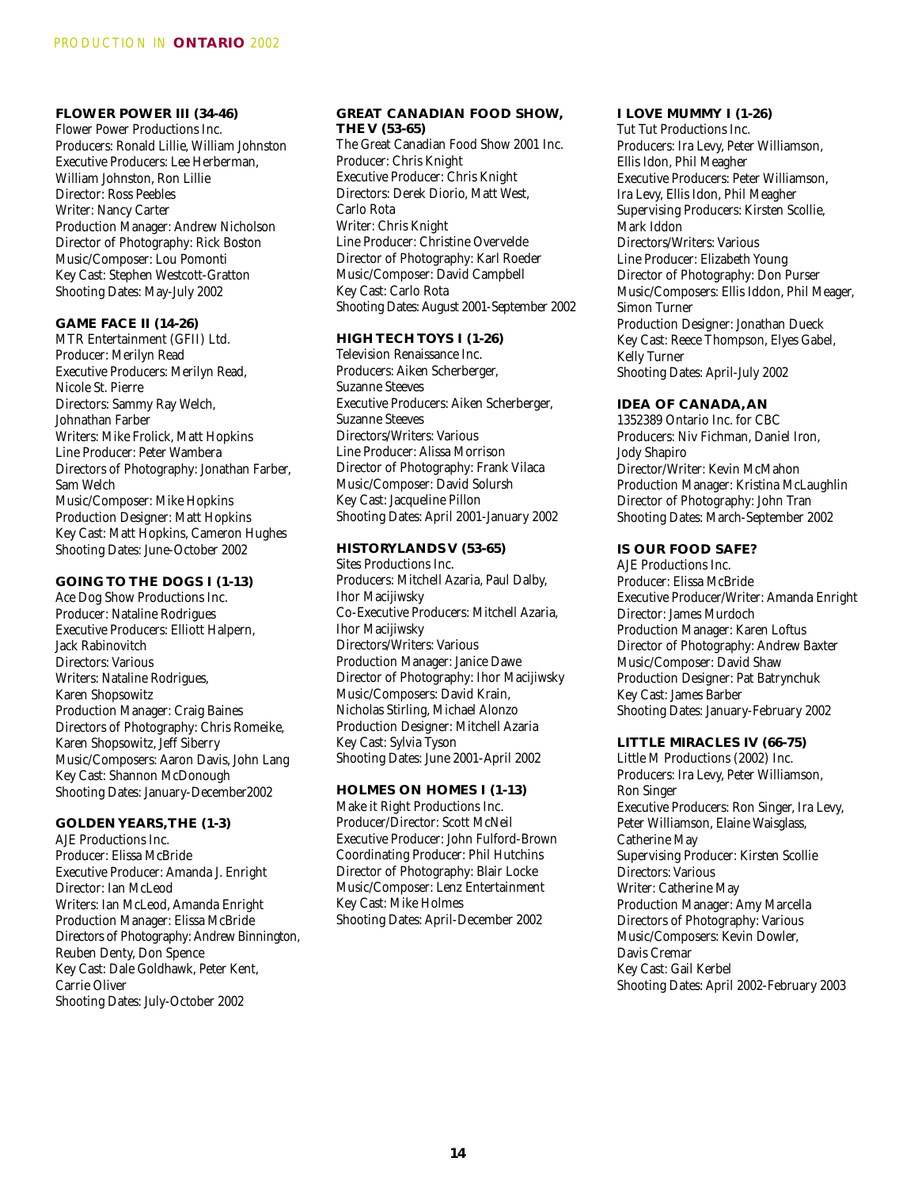# **FLOWER POWER III (34-46)**

Flower Power Productions Inc. Producers: Ronald Lillie, William Johnston Executive Producers: Lee Herberman, William Johnston, Ron Lillie Director: Ross Peebles Writer: Nancy Carter Production Manager: Andrew Nicholson Director of Photography: Rick Boston Music/Composer: Lou Pomonti Key Cast: Stephen Westcott-Gratton Shooting Dates: May-July 2002

# **GAME FACE II (14-26)**

MTR Entertainment (GFII) Ltd. Producer: Merilyn Read Executive Producers: Merilyn Read, Nicole St. Pierre Directors: Sammy Ray Welch, Johnathan Farber Writers: Mike Frolick, Matt Hopkins Line Producer: Peter Wambera Directors of Photography: Jonathan Farber, Sam Welch Music/Composer: Mike Hopkins Production Designer: Matt Hopkins Key Cast: Matt Hopkins, Cameron Hughes Shooting Dates: June-October 2002

#### **GOING TO THE DOGS I (1-13)**

Ace Dog Show Productions Inc. Producer: Nataline Rodrigues Executive Producers: Elliott Halpern, Jack Rabinovitch Directors: Various Writers: Nataline Rodrigues, Karen Shopsowitz Production Manager: Craig Baines Directors of Photography: Chris Romeike, Karen Shopsowitz, Jeff Siberry Music/Composers: Aaron Davis, John Lang Key Cast: Shannon McDonough Shooting Dates: January-December2002

#### **GOLDEN YEARS,THE (1-3)**

AJE Productions Inc. Producer: Elissa McBride Executive Producer: Amanda J. Enright Director: Ian McLeod Writers: Ian McLeod, Amanda Enright Production Manager: Elissa McBride Directors of Photography: Andrew Binnington, Reuben Denty, Don Spence Key Cast: Dale Goldhawk, Peter Kent, Carrie Oliver Shooting Dates: July-October 2002

#### **GREAT CANADIAN FOOD SHOW, THE V (53-65)**

The Great Canadian Food Show 2001 Inc. Producer: Chris Knight Executive Producer: Chris Knight Directors: Derek Diorio, Matt West, Carlo Rota Writer: Chris Knight Line Producer: Christine Overvelde Director of Photography: Karl Roeder Music/Composer: David Campbell Key Cast: Carlo Rota Shooting Dates: August 2001-September 2002

#### **HIGH TECH TOYS I (1-26)**

Television Renaissance Inc. Producers: Aiken Scherberger, Suzanne Steeves Executive Producers: Aiken Scherberger, Suzanne Steeves Directors/Writers: Various Line Producer: Alissa Morrison Director of Photography: Frank Vilaca Music/Composer: David Solursh Key Cast: Jacqueline Pillon Shooting Dates: April 2001-January 2002

#### **HISTORYLANDS V (53-65)**

Sites Productions Inc. Producers: Mitchell Azaria, Paul Dalby, Ihor Macijiwsky Co-Executive Producers: Mitchell Azaria, Ihor Macijiwsky Directors/Writers: Various Production Manager: Janice Dawe Director of Photography: Ihor Macijiwsky Music/Composers: David Krain, Nicholas Stirling, Michael Alonzo Production Designer: Mitchell Azaria Key Cast: Sylvia Tyson Shooting Dates: June 2001-April 2002

# **HOLMES ON HOMES I (1-13)**

Make it Right Productions Inc. Producer/Director: Scott McNeil Executive Producer: John Fulford-Brown Coordinating Producer: Phil Hutchins Director of Photography: Blair Locke Music/Composer: Lenz Entertainment Key Cast: Mike Holmes Shooting Dates: April-December 2002

#### **I LOVE MUMMY I (1-26)**

Tut Tut Productions Inc. Producers: Ira Levy, Peter Williamson, Ellis Idon, Phil Meagher Executive Producers: Peter Williamson, Ira Levy, Ellis Idon, Phil Meagher Supervising Producers: Kirsten Scollie, Mark Iddon Directors/Writers: Various Line Producer: Elizabeth Young Director of Photography: Don Purser Music/Composers: Ellis Iddon, Phil Meager, Simon Turner Production Designer: Jonathan Dueck Key Cast: Reece Thompson, Elyes Gabel, Kelly Turner Shooting Dates: April-July 2002

#### **IDEA OF CANADA, AN**

1352389 Ontario Inc. for CBC Producers: Niv Fichman, Daniel Iron, Jody Shapiro Director/Writer: Kevin McMahon Production Manager: Kristina McLaughlin Director of Photography: John Tran Shooting Dates: March-September 2002

#### **IS OUR FOOD SAFE?**

AJE Productions Inc. Producer: Elissa McBride Executive Producer/Writer: Amanda Enright Director: James Murdoch Production Manager: Karen Loftus Director of Photography: Andrew Baxter Music/Composer: David Shaw Production Designer: Pat Batrynchuk Key Cast: James Barber Shooting Dates: January-February 2002

#### **LITTLE MIRACLES IV (66-75)**

Little M Productions (2002) Inc. Producers: Ira Levy, Peter Williamson, Ron Singer Executive Producers: Ron Singer, Ira Levy, Peter Williamson, Elaine Waisglass, Catherine May Supervising Producer: Kirsten Scollie Directors: Various Writer: Catherine May Production Manager: Amy Marcella Directors of Photography: Various Music/Composers: Kevin Dowler, Davis Cremar Key Cast: Gail Kerbel Shooting Dates: April 2002-February 2003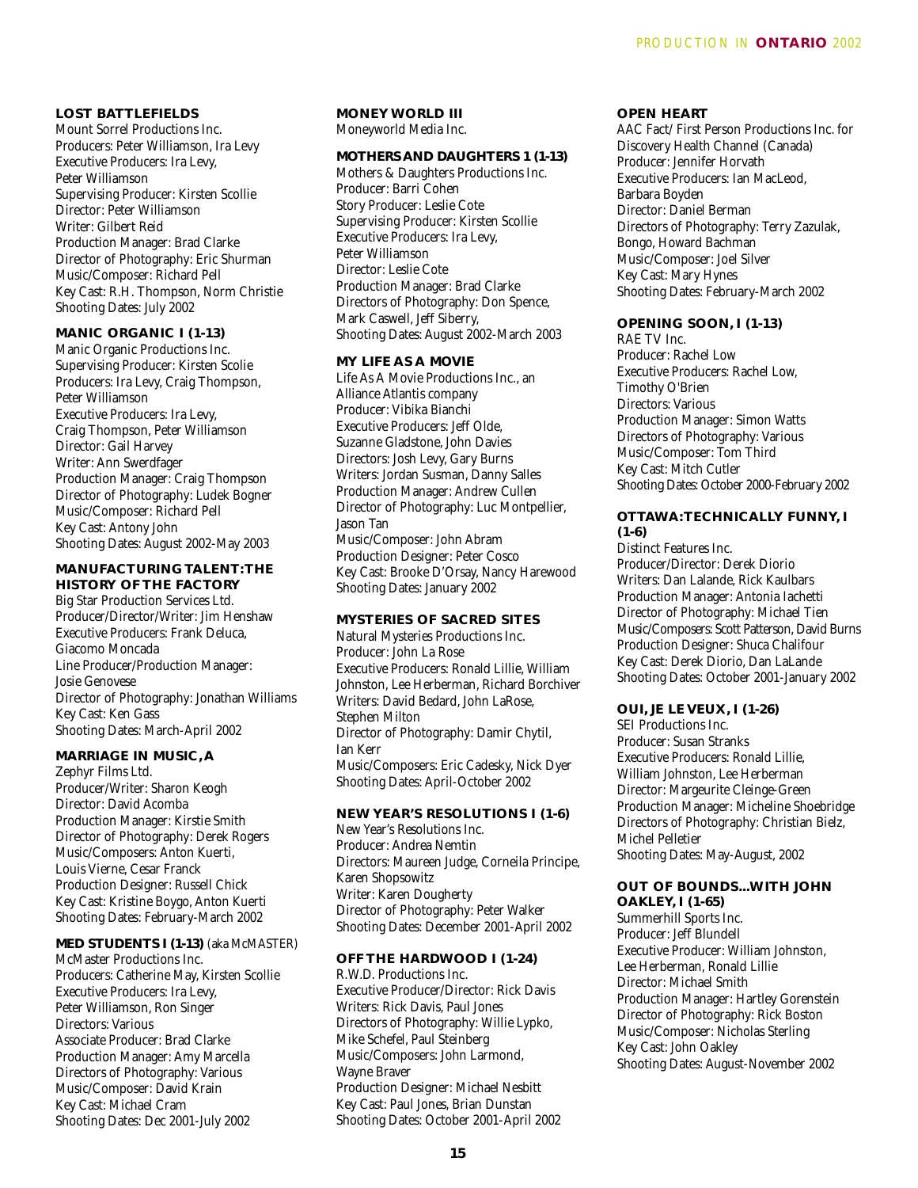# **LOST BATTLEFIELDS**

Mount Sorrel Productions Inc. Producers: Peter Williamson, Ira Levy Executive Producers: Ira Levy, Peter Williamson Supervising Producer: Kirsten Scollie Director: Peter Williamson Writer: Gilbert Reid Production Manager: Brad Clarke Director of Photography: Eric Shurman Music/Composer: Richard Pell Key Cast: R.H. Thompson, Norm Christie Shooting Dates: July 2002

#### **MANIC ORGANIC I (1-13)**

Manic Organic Productions Inc. Supervising Producer: Kirsten Scolie Producers: Ira Levy, Craig Thompson, Peter Williamson Executive Producers: Ira Levy, Craig Thompson, Peter Williamson Director: Gail Harvey Writer: Ann Swerdfager Production Manager: Craig Thompson Director of Photography: Ludek Bogner Music/Composer: Richard Pell Key Cast: Antony John Shooting Dates: August 2002-May 2003

#### **MANUFACTURING TALENT:THE HISTORY OF THE FACTORY**

Big Star Production Services Ltd. Producer/Director/Writer: Jim Henshaw Executive Producers: Frank Deluca, Giacomo Moncada Line Producer/Production Manager: Josie Genovese Director of Photography: Jonathan Williams Key Cast: Ken Gass Shooting Dates: March-April 2002

#### **MARRIAGE IN MUSIC, A**

Zephyr Films Ltd. Producer/Writer: Sharon Keogh Director: David Acomba Production Manager: Kirstie Smith Director of Photography: Derek Rogers Music/Composers: Anton Kuerti, Louis Vierne, Cesar Franck Production Designer: Russell Chick Key Cast: Kristine Boygo, Anton Kuerti Shooting Dates: February-March 2002

# **MED STUDENTS I (1-13)** (aka McMASTER)

McMaster Productions Inc. Producers: Catherine May, Kirsten Scollie Executive Producers: Ira Levy, Peter Williamson, Ron Singer Directors: Various Associate Producer: Brad Clarke Production Manager: Amy Marcella Directors of Photography: Various Music/Composer: David Krain Key Cast: Michael Cram Shooting Dates: Dec 2001-July 2002

#### **MONEY WORLD III** Moneyworld Media Inc.

# **MOTHERS AND DAUGHTERS 1 (1-13)**

Mothers & Daughters Productions Inc. Producer: Barri Cohen Story Producer: Leslie Cote Supervising Producer: Kirsten Scollie Executive Producers: Ira Levy, Peter Williamson Director: Leslie Cote Production Manager: Brad Clarke Directors of Photography: Don Spence, Mark Caswell, Jeff Siberry, Shooting Dates: August 2002-March 2003

### **MY LIFE AS A MOVIE**

Life As A Movie Productions Inc., an Alliance Atlantis company Producer: Vibika Bianchi Executive Producers: Jeff Olde, Suzanne Gladstone, John Davies Directors: Josh Levy, Gary Burns Writers: Jordan Susman, Danny Salles Production Manager: Andrew Cullen Director of Photography: Luc Montpellier, Jason Tan Music/Composer: John Abram Production Designer: Peter Cosco Key Cast: Brooke D'Orsay, Nancy Harewood Shooting Dates: January 2002

#### **MYSTERIES OF SACRED SITES**

Natural Mysteries Productions Inc. Producer: John La Rose Executive Producers: Ronald Lillie, William Johnston, Lee Herberman, Richard Borchiver Writers: David Bedard, John LaRose, Stephen Milton Director of Photography: Damir Chytil, Ian Kerr Music/Composers: Eric Cadesky, Nick Dyer Shooting Dates: April-October 2002

#### **NEW YEAR'S RESOLUTIONS I (1-6)**

New Year's Resolutions Inc. Producer: Andrea Nemtin Directors: Maureen Judge, Corneila Principe, Karen Shopsowitz Writer: Karen Dougherty Director of Photography: Peter Walker Shooting Dates: December 2001-April 2002

# **OFF THE HARDWOOD I (1-24)**

R.W.D. Productions Inc. Executive Producer/Director: Rick Davis Writers: Rick Davis, Paul Jones Directors of Photography: Willie Lypko, Mike Schefel, Paul Steinberg Music/Composers: John Larmond, Wayne Braver Production Designer: Michael Nesbitt Key Cast: Paul Jones, Brian Dunstan Shooting Dates: October 2001-April 2002

#### **OPEN HEART**

AAC Fact/ First Person Productions Inc. for Discovery Health Channel (Canada) Producer: Jennifer Horvath Executive Producers: Ian MacLeod, Barbara Boyden Director: Daniel Berman Directors of Photography: Terry Zazulak, Bongo, Howard Bachman Music/Composer: Joel Silver Key Cast: Mary Hynes Shooting Dates: February-March 2002

# **OPENING SOON, I (1-13)**

RAE TV Inc. Producer: Rachel Low Executive Producers: Rachel Low, Timothy O'Brien Directors: Various Production Manager: Simon Watts Directors of Photography: Various Music/Composer: Tom Third Key Cast: Mitch Cutler Shooting Dates: October 2000-February 2002

# **OTTAWA:TECHNICALLY FUNNY, I (1-6)**

Distinct Features Inc. Producer/Director: Derek Diorio Writers: Dan Lalande, Rick Kaulbars Production Manager: Antonia Iachetti Director of Photography: Michael Tien Music/Composers: Scott Patterson, David Burns Production Designer: Shuca Chalifour Key Cast: Derek Diorio, Dan LaLande Shooting Dates: October 2001-January 2002

**OUI, JE LE VEUX, I (1-26)**  SEI Productions Inc. Producer: Susan Stranks Executive Producers: Ronald Lillie, William Johnston, Lee Herberman Director: Margeurite Cleinge-Green Production Manager: Micheline Shoebridge Directors of Photography: Christian Bielz, Michel Pelletier Shooting Dates: May-August, 2002

#### **OUT OF BOUNDS...WITH JOHN OAKLEY, I (1-65)**

Summerhill Sports Inc. Producer: Jeff Blundell Executive Producer: William Johnston, Lee Herberman, Ronald Lillie Director: Michael Smith Production Manager: Hartley Gorenstein Director of Photography: Rick Boston Music/Composer: Nicholas Sterling Key Cast: John Oakley Shooting Dates: August-November 2002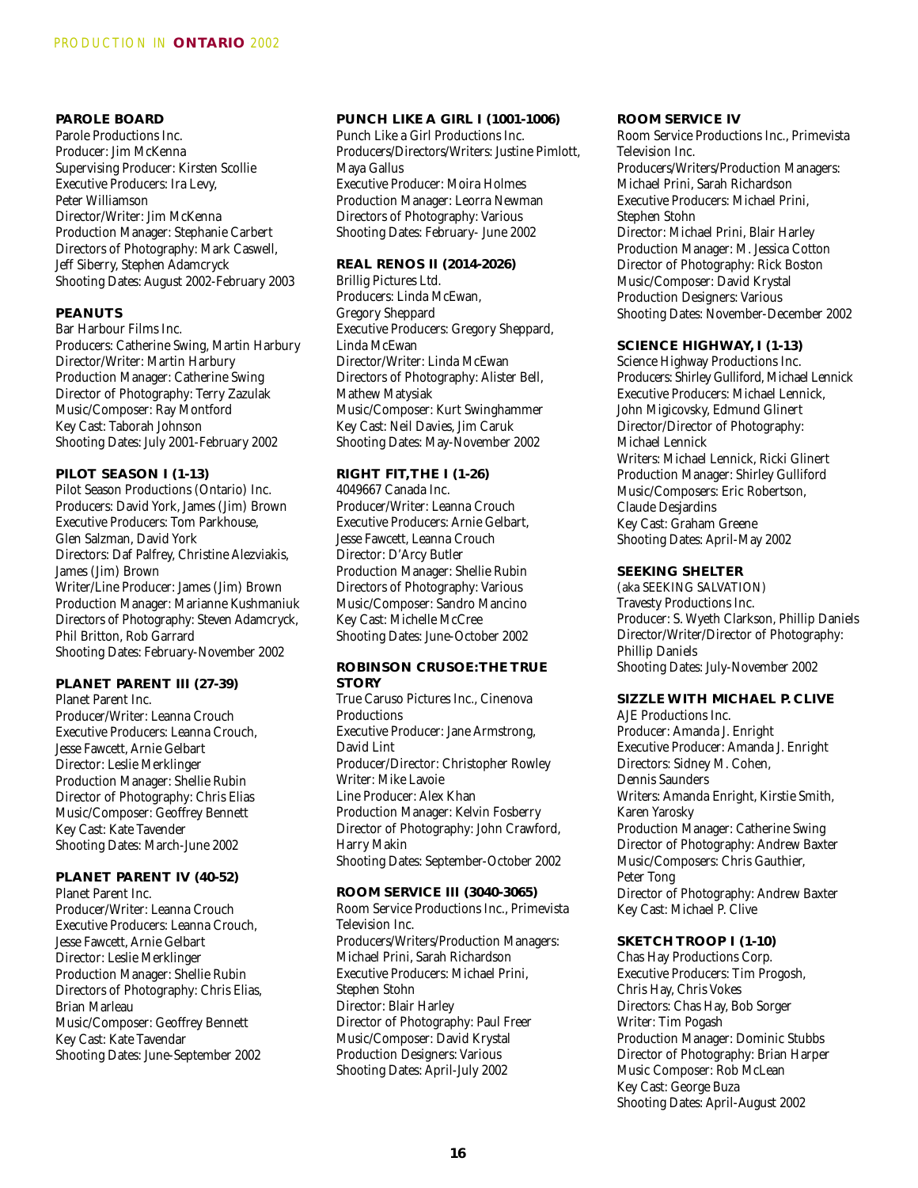# **PAROLE BOARD**

Parole Productions Inc. Producer: Jim McKenna Supervising Producer: Kirsten Scollie Executive Producers: Ira Levy, Peter Williamson Director/Writer: Jim McKenna Production Manager: Stephanie Carbert Directors of Photography: Mark Caswell, Jeff Siberry, Stephen Adamcryck Shooting Dates: August 2002-February 2003

#### **PEANUTS**

Bar Harbour Films Inc. Producers: Catherine Swing, Martin Harbury Director/Writer: Martin Harbury Production Manager: Catherine Swing Director of Photography: Terry Zazulak Music/Composer: Ray Montford Key Cast: Taborah Johnson Shooting Dates: July 2001-February 2002

## **PILOT SEASON I (1-13)**

Pilot Season Productions (Ontario) Inc. Producers: David York, James (Jim) Brown Executive Producers: Tom Parkhouse, Glen Salzman, David York Directors: Daf Palfrey, Christine Alezviakis, James (Jim) Brown Writer/Line Producer: James (Jim) Brown Production Manager: Marianne Kushmaniuk Directors of Photography: Steven Adamcryck, Phil Britton, Rob Garrard Shooting Dates: February-November 2002

# **PLANET PARENT III (27-39)**

Planet Parent Inc. Producer/Writer: Leanna Crouch Executive Producers: Leanna Crouch, Jesse Fawcett, Arnie Gelbart Director: Leslie Merklinger Production Manager: Shellie Rubin Director of Photography: Chris Elias Music/Composer: Geoffrey Bennett Key Cast: Kate Tavender Shooting Dates: March-June 2002

# **PLANET PARENT IV (40-52)**

Planet Parent Inc. Producer/Writer: Leanna Crouch Executive Producers: Leanna Crouch, Jesse Fawcett, Arnie Gelbart Director: Leslie Merklinger Production Manager: Shellie Rubin Directors of Photography: Chris Elias, Brian Marleau Music/Composer: Geoffrey Bennett Key Cast: Kate Tavendar Shooting Dates: June-September 2002

#### **PUNCH LIKE A GIRL I (1001-1006)**

Punch Like a Girl Productions Inc. Producers/Directors/Writers: Justine Pimlott, Maya Gallus Executive Producer: Moira Holmes Production Manager: Leorra Newman Directors of Photography: Various Shooting Dates: February- June 2002

# **REAL RENOS II (2014-2026)**

Brillig Pictures Ltd. Producers: Linda McEwan, Gregory Sheppard Executive Producers: Gregory Sheppard, Linda McEwan Director/Writer: Linda McEwan Directors of Photography: Alister Bell, Mathew Matysiak Music/Composer: Kurt Swinghammer Key Cast: Neil Davies, Jim Caruk Shooting Dates: May-November 2002

# **RIGHT FIT,THE I (1-26)**

4049667 Canada Inc. Producer/Writer: Leanna Crouch Executive Producers: Arnie Gelbart, Jesse Fawcett, Leanna Crouch Director: D'Arcy Butler Production Manager: Shellie Rubin Directors of Photography: Various Music/Composer: Sandro Mancino Key Cast: Michelle McCree Shooting Dates: June-October 2002

#### **ROBINSON CRUSOE:THE TRUE STORY**

True Caruso Pictures Inc., Cinenova **Productions** Executive Producer: Jane Armstrong, David Lint Producer/Director: Christopher Rowley Writer: Mike Lavoie Line Producer: Alex Khan Production Manager: Kelvin Fosberry Director of Photography: John Crawford, Harry Makin Shooting Dates: September-October 2002

**ROOM SERVICE III (3040-3065)** Room Service Productions Inc., Primevista Television Inc. Producers/Writers/Production Managers: Michael Prini, Sarah Richardson Executive Producers: Michael Prini, Stephen Stohn Director: Blair Harley Director of Photography: Paul Freer Music/Composer: David Krystal Production Designers: Various Shooting Dates: April-July 2002

#### **ROOM SERVICE IV**

Room Service Productions Inc., Primevista Television Inc. Producers/Writers/Production Managers: Michael Prini, Sarah Richardson Executive Producers: Michael Prini, Stephen Stohn Director: Michael Prini, Blair Harley Production Manager: M. Jessica Cotton Director of Photography: Rick Boston Music/Composer: David Krystal Production Designers: Various Shooting Dates: November-December 2002

#### **SCIENCE HIGHWAY, I (1-13)**

Science Highway Productions Inc. Producers: Shirley Gulliford, Michael Lennick Executive Producers: Michael Lennick, John Migicovsky, Edmund Glinert Director/Director of Photography: Michael Lennick Writers: Michael Lennick, Ricki Glinert Production Manager: Shirley Gulliford Music/Composers: Eric Robertson, Claude Desjardins Key Cast: Graham Greene Shooting Dates: April-May 2002

# **SEEKING SHELTER**

(aka SEEKING SALVATION) Travesty Productions Inc. Producer: S. Wyeth Clarkson, Phillip Daniels Director/Writer/Director of Photography: Phillip Daniels Shooting Dates: July-November 2002

# **SIZZLE WITH MICHAEL P. CLIVE**

AJE Productions Inc. Producer: Amanda J. Enright Executive Producer: Amanda J. Enright Directors: Sidney M. Cohen, Dennis Saunders Writers: Amanda Enright, Kirstie Smith, Karen Yarosky Production Manager: Catherine Swing Director of Photography: Andrew Baxter Music/Composers: Chris Gauthier, Peter Tong Director of Photography: Andrew Baxter Key Cast: Michael P. Clive

# **SKETCH TROOP I (1-10)**

Chas Hay Productions Corp. Executive Producers: Tim Progosh, Chris Hay, Chris Vokes Directors: Chas Hay, Bob Sorger Writer: Tim Pogash Production Manager: Dominic Stubbs Director of Photography: Brian Harper Music Composer: Rob McLean Key Cast: George Buza Shooting Dates: April-August 2002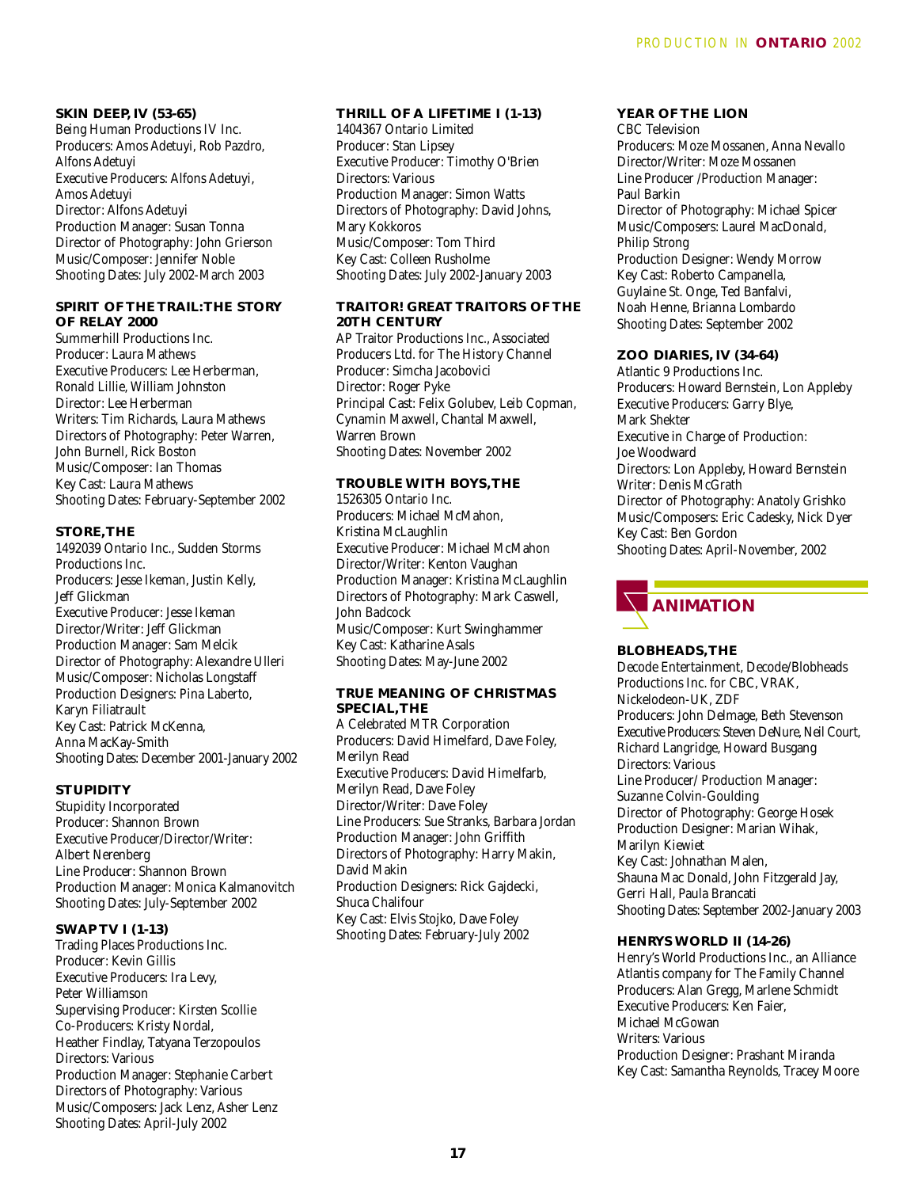**SKIN DEEP, IV (53-65)**  Being Human Productions IV Inc. Producers: Amos Adetuyi, Rob Pazdro, Alfons Adetuyi Executive Producers: Alfons Adetuyi, Amos Adetuyi Director: Alfons Adetuyi Production Manager: Susan Tonna Director of Photography: John Grierson Music/Composer: Jennifer Noble Shooting Dates: July 2002-March 2003

# **SPIRIT OF THE TRAIL:THE STORY OF RELAY 2000**

Summerhill Productions Inc. Producer: Laura Mathews Executive Producers: Lee Herberman, Ronald Lillie, William Johnston Director: Lee Herberman Writers: Tim Richards, Laura Mathews Directors of Photography: Peter Warren, John Burnell, Rick Boston Music/Composer: Ian Thomas Key Cast: Laura Mathews Shooting Dates: February-September 2002

# **STORE,THE**

1492039 Ontario Inc., Sudden Storms Productions Inc. Producers: Jesse Ikeman, Justin Kelly, Jeff Glickman Executive Producer: Jesse Ikeman Director/Writer: Jeff Glickman Production Manager: Sam Melcik Director of Photography: Alexandre Ulleri Music/Composer: Nicholas Longstaff Production Designers: Pina Laberto, Karyn Filiatrault Key Cast: Patrick McKenna, Anna MacKay-Smith Shooting Dates: December 2001-January 2002

#### **STUPIDITY**

Stupidity Incorporated Producer: Shannon Brown Executive Producer/Director/Writer: Albert Nerenberg Line Producer: Shannon Brown Production Manager: Monica Kalmanovitch Shooting Dates: July-September 2002

#### **SWAP TV I (1-13)**

Trading Places Productions Inc. Producer: Kevin Gillis Executive Producers: Ira Levy, Peter Williamson Supervising Producer: Kirsten Scollie Co-Producers: Kristy Nordal, Heather Findlay, Tatyana Terzopoulos Directors: Various Production Manager: Stephanie Carbert Directors of Photography: Various Music/Composers: Jack Lenz, Asher Lenz Shooting Dates: April-July 2002

# **THRILL OF A LIFETIME I (1-13)**  1404367 Ontario Limited Producer: Stan Lipsey Executive Producer: Timothy O'Brien Directors: Various Production Manager: Simon Watts Directors of Photography: David Johns, Mary Kokkoros Music/Composer: Tom Third Key Cast: Colleen Rusholme Shooting Dates: July 2002-January 2003

## **TRAITOR! GREAT TRAITORS OF THE 20TH CENTURY**

AP Traitor Productions Inc., Associated Producers Ltd. for The History Channel Producer: Simcha Jacobovici Director: Roger Pyke Principal Cast: Felix Golubev, Leib Copman, Cynamin Maxwell, Chantal Maxwell, Warren Brown Shooting Dates: November 2002

#### **TROUBLE WITH BOYS,THE**

1526305 Ontario Inc. Producers: Michael McMahon, Kristina McLaughlin Executive Producer: Michael McMahon Director/Writer: Kenton Vaughan Production Manager: Kristina McLaughlin Directors of Photography: Mark Caswell, John Badcock Music/Composer: Kurt Swinghammer Key Cast: Katharine Asals Shooting Dates: May-June 2002

#### **TRUE MEANING OF CHRISTMAS SPECIAL,THE**

A Celebrated MTR Corporation Producers: David Himelfard, Dave Foley, Merilyn Read Executive Producers: David Himelfarb, Merilyn Read, Dave Foley Director/Writer: Dave Foley Line Producers: Sue Stranks, Barbara Jordan Production Manager: John Griffith Directors of Photography: Harry Makin, David Makin Production Designers: Rick Gajdecki, Shuca Chalifour Key Cast: Elvis Stojko, Dave Foley Shooting Dates: February-July 2002

# **YEAR OF THE LION**

CBC Television Producers: Moze Mossanen, Anna Nevallo Director/Writer: Moze Mossanen Line Producer /Production Manager: Paul Barkin Director of Photography: Michael Spicer Music/Composers: Laurel MacDonald, Philip Strong Production Designer: Wendy Morrow Key Cast: Roberto Campanella, Guylaine St. Onge, Ted Banfalvi, Noah Henne, Brianna Lombardo Shooting Dates: September 2002

#### **ZOO DIARIES, IV (34-64)**

Atlantic 9 Productions Inc. Producers: Howard Bernstein, Lon Appleby Executive Producers: Garry Blye, Mark Shekter Executive in Charge of Production: Joe Woodward Directors: Lon Appleby, Howard Bernstein Writer: Denis McGrath Director of Photography: Anatoly Grishko Music/Composers: Eric Cadesky, Nick Dyer Key Cast: Ben Gordon Shooting Dates: April-November, 2002



# **BLOBHEADS,THE**

Decode Entertainment, Decode/Blobheads Productions Inc. for CBC, VRAK, Nickelodeon-UK, ZDF Producers: John Delmage, Beth Stevenson Executive Producers: Steven DeNure, Neil Court, Richard Langridge, Howard Busgang Directors: Various Line Producer/ Production Manager: Suzanne Colvin-Goulding Director of Photography: George Hosek Production Designer: Marian Wihak, Marilyn Kiewiet Key Cast: Johnathan Malen, Shauna Mac Donald, John Fitzgerald Jay, Gerri Hall, Paula Brancati Shooting Dates: September 2002-January 2003

#### **HENRYS WORLD II (14-26)**

Henry's World Productions Inc., an Alliance Atlantis company for The Family Channel Producers: Alan Gregg, Marlene Schmidt Executive Producers: Ken Faier, Michael McGowan Writers: Various Production Designer: Prashant Miranda Key Cast: Samantha Reynolds, Tracey Moore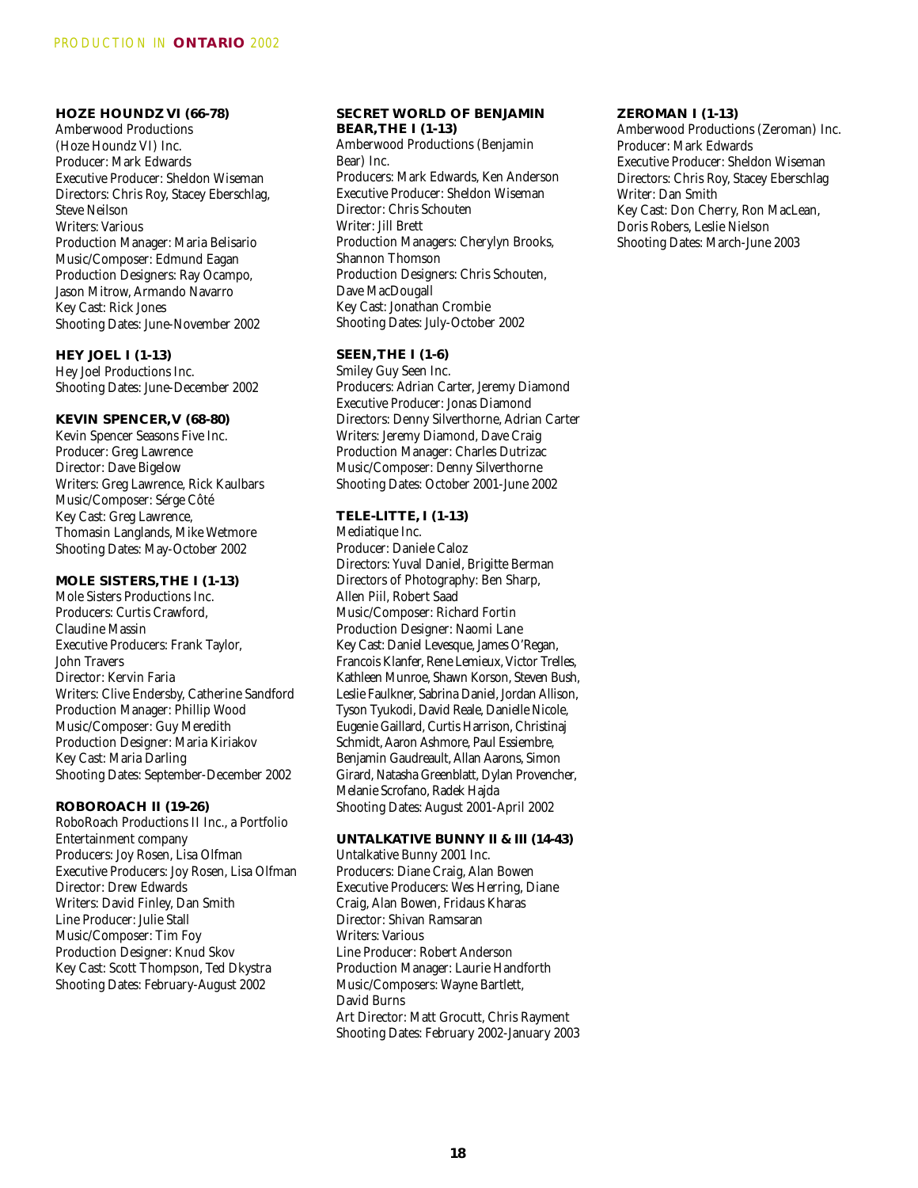# **HOZE HOUNDZ VI (66-78)**

Amberwood Productions (Hoze Houndz VI) Inc. Producer: Mark Edwards Executive Producer: Sheldon Wiseman Directors: Chris Roy, Stacey Eberschlag, Steve Neilson Writers: Various Production Manager: Maria Belisario Music/Composer: Edmund Eagan Production Designers: Ray Ocampo, Jason Mitrow, Armando Navarro Key Cast: Rick Jones Shooting Dates: June-November 2002

**HEY JOEL I (1-13)**  Hey Joel Productions Inc. Shooting Dates: June-December 2002

# **KEVIN SPENCER,V (68-80)**

Kevin Spencer Seasons Five Inc. Producer: Greg Lawrence Director: Dave Bigelow Writers: Greg Lawrence, Rick Kaulbars Music/Composer: Sérge Côté Key Cast: Greg Lawrence, Thomasin Langlands, Mike Wetmore Shooting Dates: May-October 2002

#### **MOLE SISTERS,THE I (1-13)**

Mole Sisters Productions Inc. Producers: Curtis Crawford, Claudine Massin Executive Producers: Frank Taylor, John Travers Director: Kervin Faria Writers: Clive Endersby, Catherine Sandford Production Manager: Phillip Wood Music/Composer: Guy Meredith Production Designer: Maria Kiriakov Key Cast: Maria Darling Shooting Dates: September-December 2002

#### **ROBOROACH II (19-26)**

RoboRoach Productions II Inc., a Portfolio Entertainment company Producers: Joy Rosen, Lisa Olfman Executive Producers: Joy Rosen, Lisa Olfman Director: Drew Edwards Writers: David Finley, Dan Smith Line Producer: Julie Stall Music/Composer: Tim Foy Production Designer: Knud Skov Key Cast: Scott Thompson, Ted Dkystra Shooting Dates: February-August 2002

#### **SECRET WORLD OF BENJAMIN BEAR,THE I (1-13)**

Amberwood Productions (Benjamin Bear) Inc. Producers: Mark Edwards, Ken Anderson Executive Producer: Sheldon Wiseman Director: Chris Schouten Writer: Jill Brett Production Managers: Cherylyn Brooks, Shannon Thomson Production Designers: Chris Schouten, Dave MacDougall Key Cast: Jonathan Crombie Shooting Dates: July-October 2002

## **SEEN,THE I (1-6)**

Smiley Guy Seen Inc. Producers: Adrian Carter, Jeremy Diamond Executive Producer: Jonas Diamond Directors: Denny Silverthorne, Adrian Carter Writers: Jeremy Diamond, Dave Craig Production Manager: Charles Dutrizac Music/Composer: Denny Silverthorne Shooting Dates: October 2001-June 2002

# **TELE-LITTE, I (1-13)**

Mediatique Inc. Producer: Daniele Caloz Directors: Yuval Daniel, Brigitte Berman Directors of Photography: Ben Sharp, Allen Piil, Robert Saad Music/Composer: Richard Fortin Production Designer: Naomi Lane Key Cast: Daniel Levesque, James O'Regan, Francois Klanfer, Rene Lemieux, Victor Trelles, Kathleen Munroe, Shawn Korson, Steven Bush, Leslie Faulkner, Sabrina Daniel, Jordan Allison, Tyson Tyukodi, David Reale, Danielle Nicole, Eugenie Gaillard, Curtis Harrison, Christinaj Schmidt, Aaron Ashmore, Paul Essiembre, Benjamin Gaudreault, Allan Aarons, Simon Girard, Natasha Greenblatt, Dylan Provencher, Melanie Scrofano, Radek Hajda Shooting Dates: August 2001-April 2002

**UNTALKATIVE BUNNY II & III (14-43)**  Untalkative Bunny 2001 Inc. Producers: Diane Craig, Alan Bowen Executive Producers: Wes Herring, Diane Craig, Alan Bowen, Fridaus Kharas Director: Shivan Ramsaran Writers: Various Line Producer: Robert Anderson Production Manager: Laurie Handforth Music/Composers: Wayne Bartlett, David Burns Art Director: Matt Grocutt, Chris Rayment Shooting Dates: February 2002-January 2003

#### **ZEROMAN I (1-13)**

Amberwood Productions (Zeroman) Inc. Producer: Mark Edwards Executive Producer: Sheldon Wiseman Directors: Chris Roy, Stacey Eberschlag Writer: Dan Smith Key Cast: Don Cherry, Ron MacLean, Doris Robers, Leslie Nielson Shooting Dates: March-June 2003